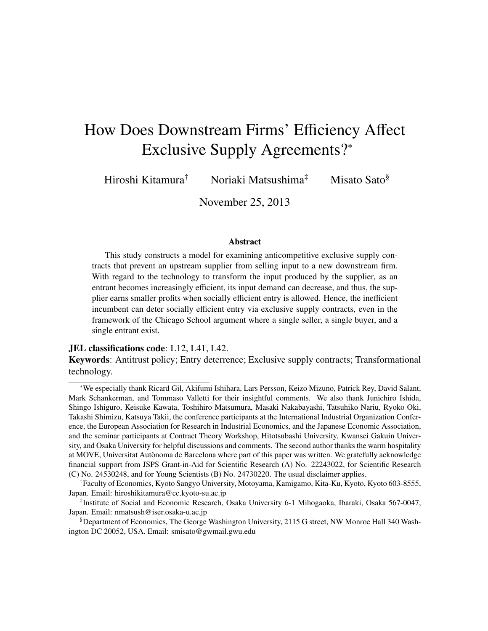# How Does Downstream Firms' Efficiency Affect Exclusive Supply Agreements?<sup>∗</sup>

Hiroshi Kitamura<sup>†</sup> Noriaki Matsushima<sup>‡</sup> Misato Sato<sup>§</sup>

November 25, 2013

#### Abstract

This study constructs a model for examining anticompetitive exclusive supply contracts that prevent an upstream supplier from selling input to a new downstream firm. With regard to the technology to transform the input produced by the supplier, as an entrant becomes increasingly efficient, its input demand can decrease, and thus, the supplier earns smaller profits when socially efficient entry is allowed. Hence, the inefficient incumbent can deter socially efficient entry via exclusive supply contracts, even in the framework of the Chicago School argument where a single seller, a single buyer, and a single entrant exist.

#### JEL classifications code: L12, L41, L42.

Keywords: Antitrust policy; Entry deterrence; Exclusive supply contracts; Transformational technology.

<sup>∗</sup>We especially thank Ricard Gil, Akifumi Ishihara, Lars Persson, Keizo Mizuno, Patrick Rey, David Salant, Mark Schankerman, and Tommaso Valletti for their insightful comments. We also thank Junichiro Ishida, Shingo Ishiguro, Keisuke Kawata, Toshihiro Matsumura, Masaki Nakabayashi, Tatsuhiko Nariu, Ryoko Oki, Takashi Shimizu, Katsuya Takii, the conference participants at the International Industrial Organization Conference, the European Association for Research in Industrial Economics, and the Japanese Economic Association, and the seminar participants at Contract Theory Workshop, Hitotsubashi University, Kwansei Gakuin University, and Osaka University for helpful discussions and comments. The second author thanks the warm hospitality at MOVE, Universitat Autonoma de Barcelona where part of this paper was written. We gratefully acknowledge ` financial support from JSPS Grant-in-Aid for Scientific Research (A) No. 22243022, for Scientific Research (C) No. 24530248, and for Young Scientists (B) No. 24730220. The usual disclaimer applies.

<sup>†</sup>Faculty of Economics, Kyoto Sangyo University, Motoyama, Kamigamo, Kita-Ku, Kyoto, Kyoto 603-8555, Japan. Email: hiroshikitamura@cc.kyoto-su.ac.jp

<sup>‡</sup> Institute of Social and Economic Research, Osaka University 6-1 Mihogaoka, Ibaraki, Osaka 567-0047, Japan. Email: nmatsush@iser.osaka-u.ac.jp

<sup>§</sup>Department of Economics, The George Washington University, 2115 G street, NW Monroe Hall 340 Washington DC 20052, USA. Email: smisato@gwmail.gwu.edu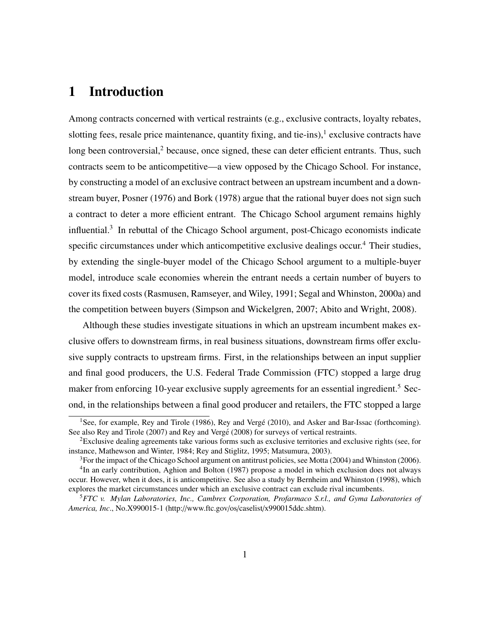# 1 Introduction

Among contracts concerned with vertical restraints (e.g., exclusive contracts, loyalty rebates, slotting fees, resale price maintenance, quantity fixing, and tie-ins), $1$  exclusive contracts have long been controversial, $2$  because, once signed, these can deter efficient entrants. Thus, such contracts seem to be anticompetitive—a view opposed by the Chicago School. For instance, by constructing a model of an exclusive contract between an upstream incumbent and a downstream buyer, Posner (1976) and Bork (1978) argue that the rational buyer does not sign such a contract to deter a more efficient entrant. The Chicago School argument remains highly influential.<sup>3</sup> In rebuttal of the Chicago School argument, post-Chicago economists indicate specific circumstances under which anticompetitive exclusive dealings occur.<sup>4</sup> Their studies, by extending the single-buyer model of the Chicago School argument to a multiple-buyer model, introduce scale economies wherein the entrant needs a certain number of buyers to cover its fixed costs (Rasmusen, Ramseyer, and Wiley, 1991; Segal and Whinston, 2000a) and the competition between buyers (Simpson and Wickelgren, 2007; Abito and Wright, 2008).

Although these studies investigate situations in which an upstream incumbent makes exclusive offers to downstream firms, in real business situations, downstream firms offer exclusive supply contracts to upstream firms. First, in the relationships between an input supplier and final good producers, the U.S. Federal Trade Commission (FTC) stopped a large drug maker from enforcing 10-year exclusive supply agreements for an essential ingredient.<sup>5</sup> Second, in the relationships between a final good producer and retailers, the FTC stopped a large

<sup>&</sup>lt;sup>1</sup>See, for example, Rey and Tirole (1986), Rey and Vergé (2010), and Asker and Bar-Issac (forthcoming). See also Rey and Tirole (2007) and Rey and Vergé (2008) for surveys of vertical restraints.

<sup>2</sup>Exclusive dealing agreements take various forms such as exclusive territories and exclusive rights (see, for instance, Mathewson and Winter, 1984; Rey and Stiglitz, 1995; Matsumura, 2003).

<sup>&</sup>lt;sup>3</sup>For the impact of the Chicago School argument on antitrust policies, see Motta (2004) and Whinston (2006).

<sup>&</sup>lt;sup>4</sup>In an early contribution, Aghion and Bolton (1987) propose a model in which exclusion does not always occur. However, when it does, it is anticompetitive. See also a study by Bernheim and Whinston (1998), which explores the market circumstances under which an exclusive contract can exclude rival incumbents.

<sup>5</sup>*FTC v. Mylan Laboratories, Inc., Cambrex Corporation, Profarmaco S.r.l., and Gyma Laboratories of America, Inc*., No.X990015-1 (http://www.ftc.gov/os/caselist/x990015ddc.shtm).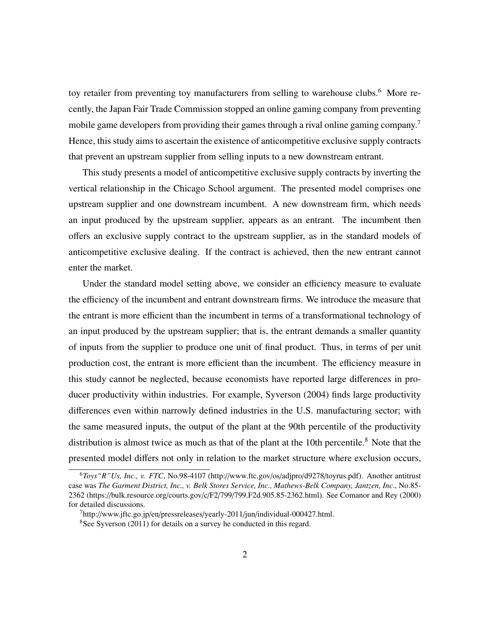toy retailer from preventing toy manufacturers from selling to warehouse clubs.<sup>6</sup> More recently, the Japan Fair Trade Commission stopped an online gaming company from preventing mobile game developers from providing their games through a rival online gaming company.<sup>7</sup> Hence, this study aims to ascertain the existence of anticompetitive exclusive supply contracts that prevent an upstream supplier from selling inputs to a new downstream entrant.

This study presents a model of anticompetitive exclusive supply contracts by inverting the vertical relationship in the Chicago School argument. The presented model comprises one upstream supplier and one downstream incumbent. A new downstream firm, which needs an input produced by the upstream supplier, appears as an entrant. The incumbent then offers an exclusive supply contract to the upstream supplier, as in the standard models of anticompetitive exclusive dealing. If the contract is achieved, then the new entrant cannot enter the market.

Under the standard model setting above, we consider an efficiency measure to evaluate the efficiency of the incumbent and entrant downstream firms. We introduce the measure that the entrant is more efficient than the incumbent in terms of a transformational technology of an input produced by the upstream supplier; that is, the entrant demands a smaller quantity of inputs from the supplier to produce one unit of final product. Thus, in terms of per unit production cost, the entrant is more efficient than the incumbent. The efficiency measure in this study cannot be neglected, because economists have reported large differences in producer productivity within industries. For example, Syverson (2004) finds large productivity differences even within narrowly defined industries in the U.S. manufacturing sector; with the same measured inputs, the output of the plant at the 90th percentile of the productivity distribution is almost twice as much as that of the plant at the 10th percentile.<sup>8</sup> Note that the presented model differs not only in relation to the market structure where exclusion occurs,

<sup>6</sup>*Toys"R"Us, Inc., v. FTC*, No.98-4107 (http://www.ftc.gov/os/adjpro/d9278/toyrus.pdf). Another antitrust case was *The Garment District, Inc., v. Belk Stores Service, Inc., Mathews-Belk Company, Jantzen, Inc*., No.85- 2362 (https://bulk.resource.org/courts.gov/c/F2/799/799.F2d.905.85-2362.html). See Comanor and Rey (2000) for detailed discussions.

 $^{7}$ http://www.jftc.go.jp/en/pressreleases/yearly-2011/jun/individual-000427.html.

<sup>&</sup>lt;sup>8</sup>See Syverson (2011) for details on a survey he conducted in this regard.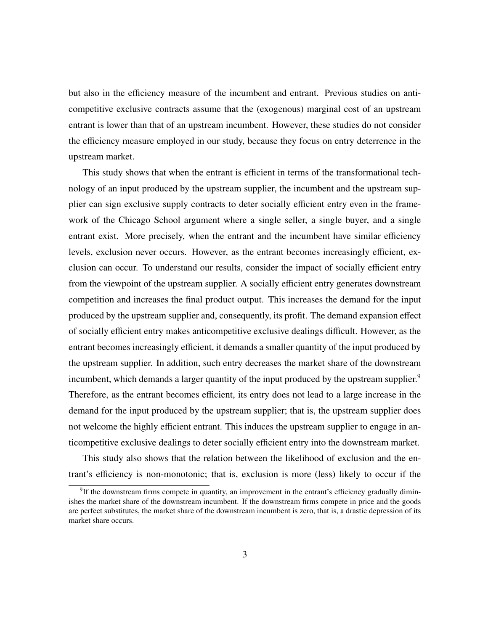but also in the efficiency measure of the incumbent and entrant. Previous studies on anticompetitive exclusive contracts assume that the (exogenous) marginal cost of an upstream entrant is lower than that of an upstream incumbent. However, these studies do not consider the efficiency measure employed in our study, because they focus on entry deterrence in the upstream market.

This study shows that when the entrant is efficient in terms of the transformational technology of an input produced by the upstream supplier, the incumbent and the upstream supplier can sign exclusive supply contracts to deter socially efficient entry even in the framework of the Chicago School argument where a single seller, a single buyer, and a single entrant exist. More precisely, when the entrant and the incumbent have similar efficiency levels, exclusion never occurs. However, as the entrant becomes increasingly efficient, exclusion can occur. To understand our results, consider the impact of socially efficient entry from the viewpoint of the upstream supplier. A socially efficient entry generates downstream competition and increases the final product output. This increases the demand for the input produced by the upstream supplier and, consequently, its profit. The demand expansion effect of socially efficient entry makes anticompetitive exclusive dealings difficult. However, as the entrant becomes increasingly efficient, it demands a smaller quantity of the input produced by the upstream supplier. In addition, such entry decreases the market share of the downstream incumbent, which demands a larger quantity of the input produced by the upstream supplier.<sup>9</sup> Therefore, as the entrant becomes efficient, its entry does not lead to a large increase in the demand for the input produced by the upstream supplier; that is, the upstream supplier does not welcome the highly efficient entrant. This induces the upstream supplier to engage in anticompetitive exclusive dealings to deter socially efficient entry into the downstream market.

This study also shows that the relation between the likelihood of exclusion and the entrant's efficiency is non-monotonic; that is, exclusion is more (less) likely to occur if the

<sup>&</sup>lt;sup>9</sup>If the downstream firms compete in quantity, an improvement in the entrant's efficiency gradually diminishes the market share of the downstream incumbent. If the downstream firms compete in price and the goods are perfect substitutes, the market share of the downstream incumbent is zero, that is, a drastic depression of its market share occurs.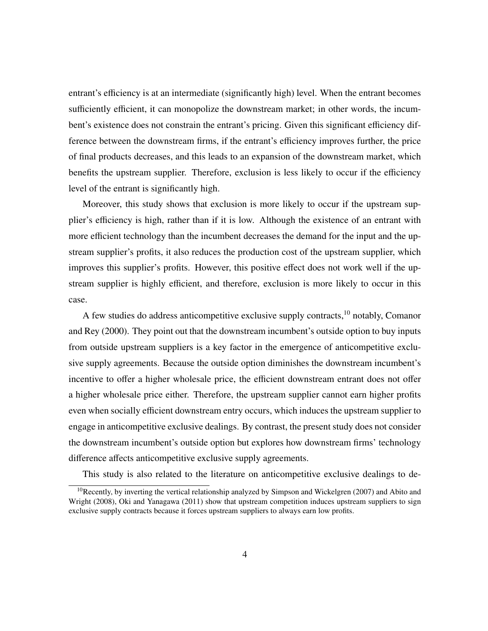entrant's efficiency is at an intermediate (significantly high) level. When the entrant becomes sufficiently efficient, it can monopolize the downstream market; in other words, the incumbent's existence does not constrain the entrant's pricing. Given this significant efficiency difference between the downstream firms, if the entrant's efficiency improves further, the price of final products decreases, and this leads to an expansion of the downstream market, which benefits the upstream supplier. Therefore, exclusion is less likely to occur if the efficiency level of the entrant is significantly high.

Moreover, this study shows that exclusion is more likely to occur if the upstream supplier's efficiency is high, rather than if it is low. Although the existence of an entrant with more efficient technology than the incumbent decreases the demand for the input and the upstream supplier's profits, it also reduces the production cost of the upstream supplier, which improves this supplier's profits. However, this positive effect does not work well if the upstream supplier is highly efficient, and therefore, exclusion is more likely to occur in this case.

A few studies do address anticompetitive exclusive supply contracts,<sup>10</sup> notably, Comanor and Rey (2000). They point out that the downstream incumbent's outside option to buy inputs from outside upstream suppliers is a key factor in the emergence of anticompetitive exclusive supply agreements. Because the outside option diminishes the downstream incumbent's incentive to offer a higher wholesale price, the efficient downstream entrant does not offer a higher wholesale price either. Therefore, the upstream supplier cannot earn higher profits even when socially efficient downstream entry occurs, which induces the upstream supplier to engage in anticompetitive exclusive dealings. By contrast, the present study does not consider the downstream incumbent's outside option but explores how downstream firms' technology difference affects anticompetitive exclusive supply agreements.

This study is also related to the literature on anticompetitive exclusive dealings to de-

<sup>10</sup>Recently, by inverting the vertical relationship analyzed by Simpson and Wickelgren (2007) and Abito and Wright (2008), Oki and Yanagawa (2011) show that upstream competition induces upstream suppliers to sign exclusive supply contracts because it forces upstream suppliers to always earn low profits.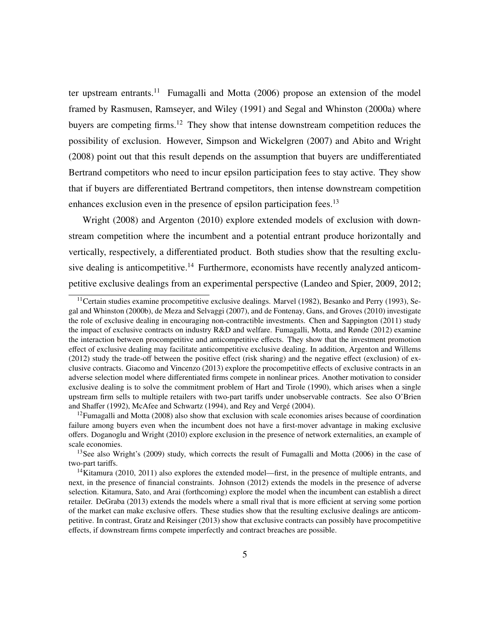ter upstream entrants.<sup>11</sup> Fumagalli and Motta  $(2006)$  propose an extension of the model framed by Rasmusen, Ramseyer, and Wiley (1991) and Segal and Whinston (2000a) where buyers are competing firms.<sup>12</sup> They show that intense downstream competition reduces the possibility of exclusion. However, Simpson and Wickelgren (2007) and Abito and Wright (2008) point out that this result depends on the assumption that buyers are undifferentiated Bertrand competitors who need to incur epsilon participation fees to stay active. They show that if buyers are differentiated Bertrand competitors, then intense downstream competition enhances exclusion even in the presence of epsilon participation fees.<sup>13</sup>

Wright (2008) and Argenton (2010) explore extended models of exclusion with downstream competition where the incumbent and a potential entrant produce horizontally and vertically, respectively, a differentiated product. Both studies show that the resulting exclusive dealing is anticompetitive.<sup>14</sup> Furthermore, economists have recently analyzed anticompetitive exclusive dealings from an experimental perspective (Landeo and Spier, 2009, 2012;

<sup>&</sup>lt;sup>11</sup>Certain studies examine procompetitive exclusive dealings. Marvel (1982), Besanko and Perry (1993), Segal and Whinston (2000b), de Meza and Selvaggi (2007), and de Fontenay, Gans, and Groves (2010) investigate the role of exclusive dealing in encouraging non-contractible investments. Chen and Sappington (2011) study the impact of exclusive contracts on industry R&D and welfare. Fumagalli, Motta, and Rønde (2012) examine the interaction between procompetitive and anticompetitive effects. They show that the investment promotion effect of exclusive dealing may facilitate anticompetitive exclusive dealing. In addition, Argenton and Willems (2012) study the trade-off between the positive effect (risk sharing) and the negative effect (exclusion) of exclusive contracts. Giacomo and Vincenzo (2013) explore the procompetitive effects of exclusive contracts in an adverse selection model where differentiated firms compete in nonlinear prices. Another motivation to consider exclusive dealing is to solve the commitment problem of Hart and Tirole (1990), which arises when a single upstream firm sells to multiple retailers with two-part tariffs under unobservable contracts. See also O'Brien and Shaffer (1992), McAfee and Schwartz (1994), and Rey and Verge (2004). ´

 $12$ Fumagalli and Motta (2008) also show that exclusion with scale economies arises because of coordination failure among buyers even when the incumbent does not have a first-mover advantage in making exclusive offers. Doganoglu and Wright (2010) explore exclusion in the presence of network externalities, an example of scale economies.

<sup>&</sup>lt;sup>13</sup>See also Wright's (2009) study, which corrects the result of Fumagalli and Motta (2006) in the case of two-part tariffs.

<sup>&</sup>lt;sup>14</sup>Kitamura (2010, 2011) also explores the extended model—first, in the presence of multiple entrants, and next, in the presence of financial constraints. Johnson (2012) extends the models in the presence of adverse selection. Kitamura, Sato, and Arai (forthcoming) explore the model when the incumbent can establish a direct retailer. DeGraba (2013) extends the models where a small rival that is more efficient at serving some portion of the market can make exclusive offers. These studies show that the resulting exclusive dealings are anticompetitive. In contrast, Gratz and Reisinger (2013) show that exclusive contracts can possibly have procompetitive effects, if downstream firms compete imperfectly and contract breaches are possible.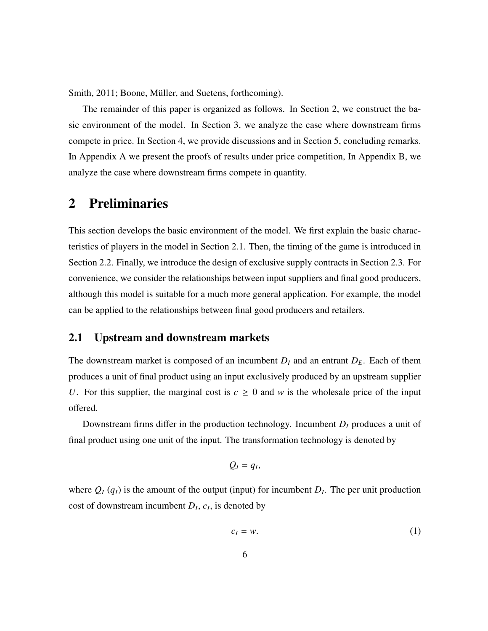Smith, 2011; Boone, Müller, and Suetens, forthcoming).

The remainder of this paper is organized as follows. In Section 2, we construct the basic environment of the model. In Section 3, we analyze the case where downstream firms compete in price. In Section 4, we provide discussions and in Section 5, concluding remarks. In Appendix A we present the proofs of results under price competition, In Appendix B, we analyze the case where downstream firms compete in quantity.

# 2 Preliminaries

This section develops the basic environment of the model. We first explain the basic characteristics of players in the model in Section 2.1. Then, the timing of the game is introduced in Section 2.2. Finally, we introduce the design of exclusive supply contracts in Section 2.3. For convenience, we consider the relationships between input suppliers and final good producers, although this model is suitable for a much more general application. For example, the model can be applied to the relationships between final good producers and retailers.

### 2.1 Upstream and downstream markets

The downstream market is composed of an incumbent  $D_I$  and an entrant  $D_E$ . Each of them produces a unit of final product using an input exclusively produced by an upstream supplier *U*. For this supplier, the marginal cost is  $c \geq 0$  and *w* is the wholesale price of the input offered.

Downstream firms differ in the production technology. Incumbent *D<sup>I</sup>* produces a unit of final product using one unit of the input. The transformation technology is denoted by

$$
Q_I=q_I,
$$

where  $Q_I(q_I)$  is the amount of the output (input) for incumbent  $D_I$ . The per unit production cost of downstream incumbent  $D_I$ ,  $c_I$ , is denoted by

$$
c_I = w.\t\t(1)
$$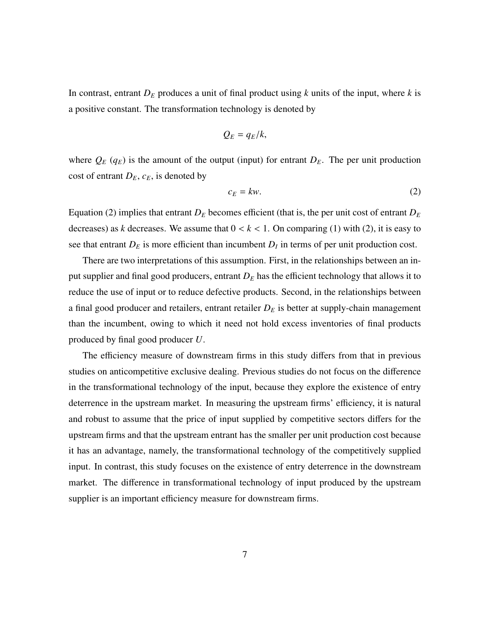In contrast, entrant  $D_E$  produces a unit of final product using *k* units of the input, where *k* is a positive constant. The transformation technology is denoted by

$$
Q_E=q_E/k,
$$

where  $Q_E(q_E)$  is the amount of the output (input) for entrant  $D_E$ . The per unit production cost of entrant  $D_E$ ,  $c_E$ , is denoted by

$$
c_E = kw. \tag{2}
$$

Equation (2) implies that entrant  $D_E$  becomes efficient (that is, the per unit cost of entrant  $D_E$ decreases) as *k* decreases. We assume that  $0 < k < 1$ . On comparing (1) with (2), it is easy to see that entrant  $D_E$  is more efficient than incumbent  $D_I$  in terms of per unit production cost.

There are two interpretations of this assumption. First, in the relationships between an input supplier and final good producers, entrant *D<sup>E</sup>* has the efficient technology that allows it to reduce the use of input or to reduce defective products. Second, in the relationships between a final good producer and retailers, entrant retailer *D<sup>E</sup>* is better at supply-chain management than the incumbent, owing to which it need not hold excess inventories of final products produced by final good producer *U*.

The efficiency measure of downstream firms in this study differs from that in previous studies on anticompetitive exclusive dealing. Previous studies do not focus on the difference in the transformational technology of the input, because they explore the existence of entry deterrence in the upstream market. In measuring the upstream firms' efficiency, it is natural and robust to assume that the price of input supplied by competitive sectors differs for the upstream firms and that the upstream entrant has the smaller per unit production cost because it has an advantage, namely, the transformational technology of the competitively supplied input. In contrast, this study focuses on the existence of entry deterrence in the downstream market. The difference in transformational technology of input produced by the upstream supplier is an important efficiency measure for downstream firms.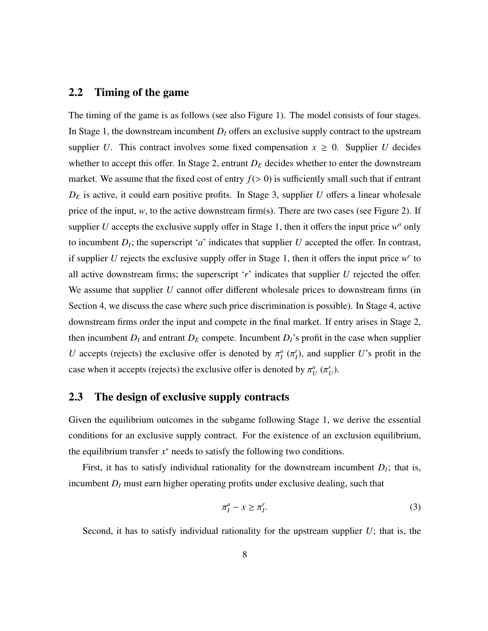### 2.2 Timing of the game

The timing of the game is as follows (see also Figure 1). The model consists of four stages. In Stage 1, the downstream incumbent  $D<sub>I</sub>$  offers an exclusive supply contract to the upstream supplier *U*. This contract involves some fixed compensation  $x \geq 0$ . Supplier *U* decides whether to accept this offer. In Stage 2, entrant  $D<sub>E</sub>$  decides whether to enter the downstream market. We assume that the fixed cost of entry  $f(> 0)$  is sufficiently small such that if entrant  $D_E$  is active, it could earn positive profits. In Stage 3, supplier *U* offers a linear wholesale price of the input, *w*, to the active downstream firm(s). There are two cases (see Figure 2). If supplier  $U$  accepts the exclusive supply offer in Stage 1, then it offers the input price  $w^a$  only to incumbent  $D_I$ ; the superscript '*a*' indicates that supplier *U* accepted the offer. In contrast, if supplier  $U$  rejects the exclusive supply offer in Stage 1, then it offers the input price  $w<sup>r</sup>$  to all active downstream firms; the superscript '*r*' indicates that supplier *U* rejected the offer. We assume that supplier *U* cannot offer different wholesale prices to downstream firms (in Section 4, we discuss the case where such price discrimination is possible). In Stage 4, active downstream firms order the input and compete in the final market. If entry arises in Stage 2, then incumbent  $D_I$  and entrant  $D_E$  compete. Incumbent  $D_I$ 's profit in the case when supplier *U* accepts (rejects) the exclusive offer is denoted by  $\pi_l^a$  ( $\pi_l^r$ ), and supplier *U*'s profit in the case when it accepts (rejects) the exclusive offer is denoted by  $\pi_U^a(\pi_U^r)$ .

### 2.3 The design of exclusive supply contracts

Given the equilibrium outcomes in the subgame following Stage 1, we derive the essential conditions for an exclusive supply contract. For the existence of an exclusion equilibrium, the equilibrium transfer  $x^*$  needs to satisfy the following two conditions.

First, it has to satisfy individual rationality for the downstream incumbent  $D<sub>I</sub>$ ; that is, incumbent  $D_I$  must earn higher operating profits under exclusive dealing, such that

$$
\pi_I^a - x \ge \pi_I^r. \tag{3}
$$

Second, it has to satisfy individual rationality for the upstream supplier *U*; that is, the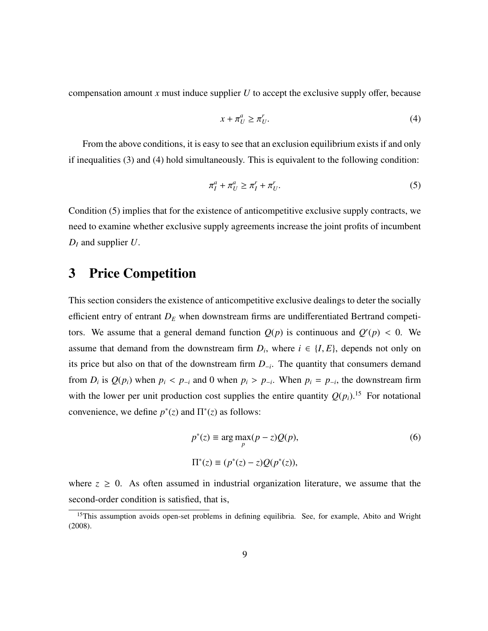compensation amount *x* must induce supplier *U* to accept the exclusive supply offer, because

$$
x + \pi_U^a \ge \pi_U^r. \tag{4}
$$

From the above conditions, it is easy to see that an exclusion equilibrium exists if and only if inequalities (3) and (4) hold simultaneously. This is equivalent to the following condition:

$$
\pi_I^a + \pi_U^a \ge \pi_I^r + \pi_U^r. \tag{5}
$$

Condition (5) implies that for the existence of anticompetitive exclusive supply contracts, we need to examine whether exclusive supply agreements increase the joint profits of incumbent *D<sup>I</sup>* and supplier *U*.

# 3 Price Competition

This section considers the existence of anticompetitive exclusive dealings to deter the socially efficient entry of entrant *D<sup>E</sup>* when downstream firms are undifferentiated Bertrand competitors. We assume that a general demand function  $Q(p)$  is continuous and  $Q'(p) < 0$ . We assume that demand from the downstream firm  $D_i$ , where  $i \in \{I, E\}$ , depends not only on its price but also on that of the downstream firm *D*<sup>−</sup>*<sup>i</sup>* . The quantity that consumers demand from  $D_i$  is  $Q(p_i)$  when  $p_i < p_{-i}$  and 0 when  $p_i > p_{-i}$ . When  $p_i = p_{-i}$ , the downstream firm with the lower per unit production cost supplies the entire quantity  $Q(p_i)$ .<sup>15</sup> For notational convenience, we define  $p^*(z)$  and  $\Pi^*(z)$  as follows:

$$
p^*(z) \equiv \arg \max_{p} (p - z) Q(p),
$$
  
\n
$$
\Pi^*(z) \equiv (p^*(z) - z) Q(p^*(z)),
$$
\n(6)

where  $z \ge 0$ . As often assumed in industrial organization literature, we assume that the second-order condition is satisfied, that is,

<sup>&</sup>lt;sup>15</sup>This assumption avoids open-set problems in defining equilibria. See, for example, Abito and Wright (2008).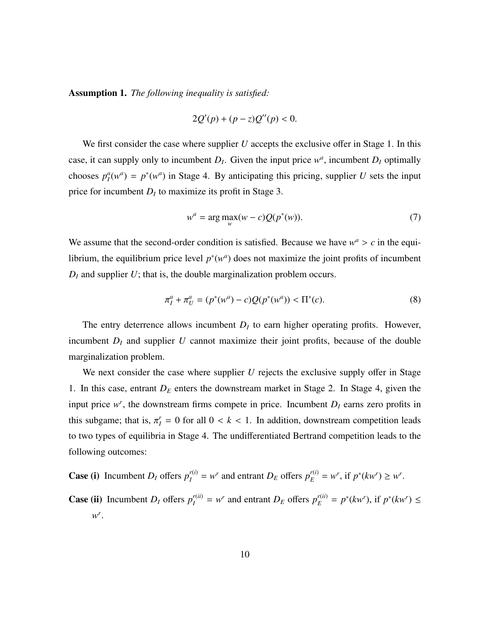Assumption 1. *The following inequality is satisfied:*

$$
2Q'(p) + (p - z)Q''(p) < 0.
$$

We first consider the case where supplier *U* accepts the exclusive offer in Stage 1. In this case, it can supply only to incumbent  $D<sub>I</sub>$ . Given the input price  $w<sup>a</sup>$ , incumbent  $D<sub>I</sub>$  optimally chooses  $p_I^a(w^a) = p^*(w^a)$  in Stage 4. By anticipating this pricing, supplier *U* sets the input price for incumbent  $D_I$  to maximize its profit in Stage 3.

$$
w^{a} = \arg \max_{w} (w - c) Q(p^*(w)).
$$
 (7)

We assume that the second-order condition is satisfied. Because we have  $w^a > c$  in the equilibrium, the equilibrium price level  $p^*(w^a)$  does not maximize the joint profits of incumbent  $D_I$  and supplier  $U$ ; that is, the double marginalization problem occurs.

$$
\pi_I^a + \pi_U^a = (p^*(w^a) - c)Q(p^*(w^a)) < \Pi^*(c). \tag{8}
$$

The entry deterrence allows incumbent  $D_I$  to earn higher operating profits. However, incumbent  $D_I$  and supplier  $U$  cannot maximize their joint profits, because of the double marginalization problem.

We next consider the case where supplier *U* rejects the exclusive supply offer in Stage 1. In this case, entrant *D<sup>E</sup>* enters the downstream market in Stage 2. In Stage 4, given the input price  $w^r$ , the downstream firms compete in price. Incumbent  $D<sub>I</sub>$  earns zero profits in this subgame; that is,  $\pi_I^r = 0$  for all  $0 < k < 1$ . In addition, downstream competition leads to two types of equilibria in Stage 4. The undifferentiated Bertrand competition leads to the following outcomes:

**Case (i)** Incumbent  $D_l$  offers  $p_l^{r(i)} = w^r$  and entrant  $D_E$  offers  $p_E^{r(i)} = w^r$ , if  $p^*(kw^r) \geq w^r$ .

**Case (ii)** Incumbent  $D_I$  offers  $p_I^{r(i)} = w^r$  and entrant  $D_E$  offers  $p_E^{r(i)} = p^*(kw^r)$ , if  $p^*(kw^r) \leq$ *w r* .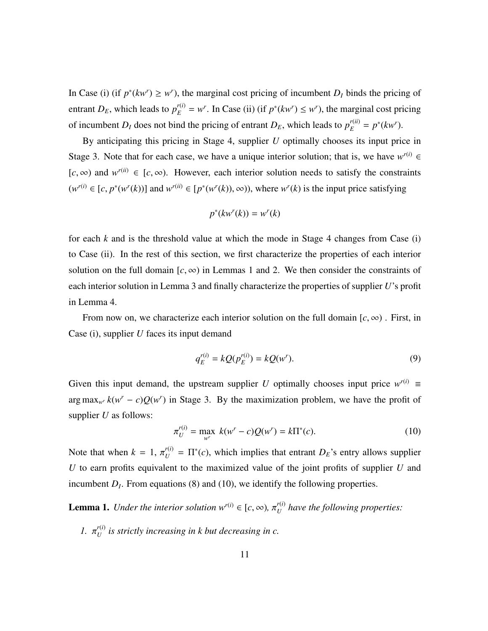In Case (i) (if  $p^*(kw^r) \geq w^r$ ), the marginal cost pricing of incumbent  $D_I$  binds the pricing of entrant  $D_E$ , which leads to  $p_E^{r(i)} = w^r$ . In Case (ii) (if  $p^*(kw^r) \leq w^r$ ), the marginal cost pricing of incumbent *D<sub>I</sub>* does not bind the pricing of entrant *D<sub>E</sub>*, which leads to  $p_E^{r(ii)} = p^*(kw^r)$ .

By anticipating this pricing in Stage 4, supplier *U* optimally chooses its input price in Stage 3. Note that for each case, we have a unique interior solution; that is, we have  $w^{r(i)} \in$  $[c, \infty)$  and  $w^{r(i)} \in [c, \infty)$ . However, each interior solution needs to satisfy the constraints  $(w^{r(i)} \in [c, p^*(w^r(k))]$  and  $w^{r(ii)} \in [p^*(w^r(k)), \infty)$ , where  $w^r(k)$  is the input price satisfying

$$
p^*(kw^r(k)) = w^r(k)
$$

for each  $k$  and is the threshold value at which the mode in Stage 4 changes from Case (i) to Case (ii). In the rest of this section, we first characterize the properties of each interior solution on the full domain  $[c, \infty)$  in Lemmas 1 and 2. We then consider the constraints of each interior solution in Lemma 3 and finally characterize the properties of supplier *U*'s profit in Lemma 4.

From now on, we characterize each interior solution on the full domain  $[c, \infty)$ . First, in Case (i), supplier *U* faces its input demand

$$
q_E^{r(i)} = kQ(p_E^{r(i)}) = kQ(w^r).
$$
\n(9)

Given this input demand, the upstream supplier *U* optimally chooses input price  $w^{r(i)} \equiv$ arg max<sub>*w<sup>r</sup>*  $k(w^r - c)Q(w^r)$  in Stage 3. By the maximization problem, we have the profit of</sub> supplier *U* as follows:

$$
\pi_U^{r(i)} = \max_{w^r} k(w^r - c)Q(w^r) = k\Pi^*(c).
$$
 (10)

Note that when  $k = 1$ ,  $\pi_U^{(i)} = \Pi^*(c)$ , which implies that entrant  $D_E$ 's entry allows supplier *U* to earn profits equivalent to the maximized value of the joint profits of supplier *U* and incumbent  $D<sub>I</sub>$ . From equations (8) and (10), we identify the following properties.

**Lemma 1.** *Under the interior solution*  $w^{r(i)} \in [c, \infty)$ ,  $\pi_U^{r(i)}$ *U have the following properties:*

*1.*  $\pi_U^{r(i)}$  $U^{(1)}_U$  is strictly increasing in k but decreasing in c.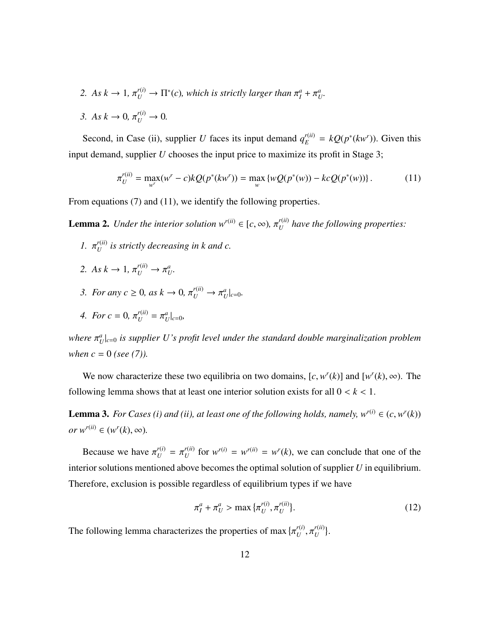- 2. *As*  $k \to 1$ ,  $\pi_U^{r(i)} \to \Pi^*(c)$ , which is strictly larger than  $\pi_I^a + \pi_U^a$ .
- *3. As*  $k \to 0$ ,  $\pi_U^{r(i)} \to 0$ .

Second, in Case (ii), supplier *U* faces its input demand  $q_E^{r(i)} = kQ(p^*(kw^r))$ . Given this input demand, supplier *U* chooses the input price to maximize its profit in Stage 3;

$$
\pi_U^{r(ii)} = \max_{w^r} (w^r - c) k Q(p^*(kw^r)) = \max_w \{ wQ(p^*(w)) - kcQ(p^*(w)) \}.
$$
 (11)

From equations (7) and (11), we identify the following properties.

**Lemma 2.** *Under the interior solution*  $w^{r(ii)} \in [c, \infty)$ ,  $\pi_{U}^{r(ii)}$ *U have the following properties:*

- *1.*  $\pi_U^{r(ii)}$  $U^{(u)}$  is strictly decreasing in k and c.
- 2. *As*  $k \to 1$ ,  $\pi_U^{r(i)} \to \pi_U^a$ .
- 3. *For any*  $c \ge 0$ *, as*  $k \to 0$ *,*  $\pi_U^{r(ii)} \to \pi_U^a|_{c=0}$ *.*
- *4. For*  $c = 0$ ,  $\pi_U^{r(ii)} = \pi_U^a|_{c=0}$ ,

*where*  $\pi_{U}^{a}|_{c=0}$  *is supplier U's profit level under the standard double marginalization problem when*  $c = 0$  (*see* (7)).

We now characterize these two equilibria on two domains,  $[c, w^r(k)]$  and  $[w^r(k), \infty)$ . The following lemma shows that at least one interior solution exists for all  $0 < k < 1$ .

**Lemma 3.** *For Cases (i) and (ii), at least one of the following holds, namely,*  $w^{r(i)} \in (c, w^r(k))$  $or w^{r(ii)} \in (w^r(k), \infty).$ 

Because we have  $\pi_U^{r(i)} = \pi_U^{r(i)}$  $U^{(ii)}$  for  $W^{(i)} = W^{(ii)} = W^{(i)}(k)$ , we can conclude that one of the interior solutions mentioned above becomes the optimal solution of supplier *U* in equilibrium. Therefore, exclusion is possible regardless of equilibrium types if we have

$$
\pi_I^a + \pi_U^a > \max{\{\pi_U^{r(i)}, \pi_U^{r(ii)}\}}.
$$
\n(12)

The following lemma characterizes the properties of max { *r*(*i*)  $U$ <sup>,  $\mu$ </sup> *r*(*ii*)  $U^{(u)}$ .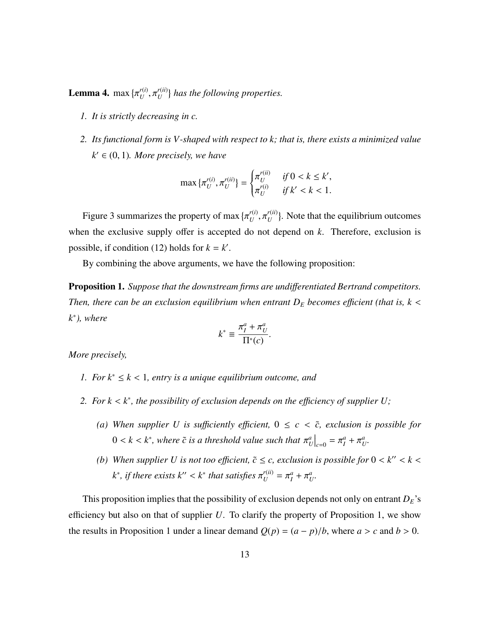**Lemma 4.** max $\{$ *r*(*i*)  $U$ <sup>,  $\mu$ </sup> *r*(*ii*)  $\binom{U^{(1)}}{U}$  has the following properties.

- *1. It is strictly decreasing in c.*
- *2. Its functional form is V-shaped with respect to k; that is, there exists a minimized value*  $k' \in (0, 1)$ *. More precisely, we have*

$$
\max \{\pi_U^{r(i)}, \pi_U^{r(ii)}\} = \begin{cases} \pi_U^{r(ii)} & \text{if } 0 < k \le k', \\ \pi_U^{r(i)} & \text{if } k' < k < 1. \end{cases}
$$

Figure 3 summarizes the property of max *r*(*i*)  $U$ <sup>,  $\mu$ </sup> *r*(*ii*)  $U^{(u)}$ . Note that the equilibrium outcomes when the exclusive supply offer is accepted do not depend on *k*. Therefore, exclusion is possible, if condition (12) holds for  $k = k'$ .

By combining the above arguments, we have the following proposition:

Proposition 1. *Suppose that the downstream firms are undi*ff*erentiated Bertrand competitors. Then, there can be an exclusion equilibrium when entrant*  $D_E$  *becomes efficient (that is, k < k* ∗ *), where*

$$
k^* \equiv \frac{\pi_I^a + \pi_U^a}{\Pi^*(c)}
$$

*More precisely,*

- *1. For k*<sup>∗</sup> <sup>≤</sup> *<sup>k</sup>* < <sup>1</sup>*, entry is a unique equilibrium outcome, and*
- *2. For k* < *<sup>k</sup>* ∗ *, the possibility of exclusion depends on the e*ffi*ciency of supplier U;*
	- *(a)* When supplier U is sufficiently efficient,  $0 \leq c \leq \tilde{c}$ , exclusion is possible for  $0 < k < k^*$ , where  $\tilde{c}$  is a threshold value such that  $\pi_U^a\big|_{c=0} = \pi_I^a + \pi_U^a$ .
	- *(b)* When supplier U is not too efficient,  $\tilde{c} \leq c$ , exclusion is possible for  $0 < k'' < k <$  $k^*$ , *if there exists*  $k'' < k^*$  *that satisfies*  $\pi_U^{r(ii)} = \pi_I^a + \pi_U^a$ .

This proposition implies that the possibility of exclusion depends not only on entrant  $D_E$ 's efficiency but also on that of supplier *U*. To clarify the property of Proposition 1, we show the results in Proposition 1 under a linear demand  $Q(p) = (a - p)/b$ , where  $a > c$  and  $b > 0$ .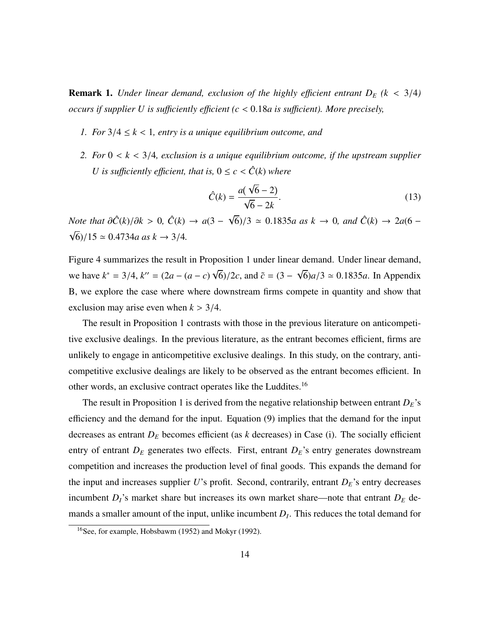**Remark 1.** *Under linear demand, exclusion of the highly efficient entrant*  $D_E$  *(k < 3/4) occurs if supplier U is su*ffi*ciently e*ffi*cient (c* < <sup>0</sup>.18*a is su*ffi*cient). More precisely,*

- *1. For*  $3/4 \leq k < 1$ , entry is a unique equilibrium outcome, and
- *2. For* <sup>0</sup> < *<sup>k</sup>* < <sup>3</sup>/4*, exclusion is a unique equilibrium outcome, if the upstream supplier U* is sufficiently efficient, that is,  $0 \leq c < \hat{C}(k)$  where

$$
\hat{C}(k) = \frac{a(\sqrt{6}-2)}{\sqrt{6}-2k}.
$$
\n(13)

*Note that*  $\partial \hat{C}(k)/\partial k > 0$ ,  $\hat{C}(k) \rightarrow a(3 - \bar{k})$ √  $\sqrt{6}$ /3  $\simeq$  0.1835*a* as  $k \to 0$ , and  $\hat{C}(k) \to 2a(6 - 1)$ √  $6)/15 \approx 0.4734a$  as  $k \to 3/4$ .

Figure 4 summarizes the result in Proposition 1 under linear demand. Under linear demand, we have  $k^* = 3/4$ ,  $k'' = (2a - (a - c))$ √  $\frac{\delta}{2c}$ , and  $\tilde{c} = (3 - \frac{1}{c})$ √  $6)a/3 \approx 0.1835a$ . In Appendix B, we explore the case where where downstream firms compete in quantity and show that exclusion may arise even when  $k > 3/4$ .

The result in Proposition 1 contrasts with those in the previous literature on anticompetitive exclusive dealings. In the previous literature, as the entrant becomes efficient, firms are unlikely to engage in anticompetitive exclusive dealings. In this study, on the contrary, anticompetitive exclusive dealings are likely to be observed as the entrant becomes efficient. In other words, an exclusive contract operates like the Luddites.<sup>16</sup>

The result in Proposition 1 is derived from the negative relationship between entrant  $D_E$ 's efficiency and the demand for the input. Equation (9) implies that the demand for the input decreases as entrant *D<sup>E</sup>* becomes efficient (as *k* decreases) in Case (i). The socially efficient entry of entrant  $D_E$  generates two effects. First, entrant  $D_E$ 's entry generates downstream competition and increases the production level of final goods. This expands the demand for the input and increases supplier *U*'s profit. Second, contrarily, entrant *DE*'s entry decreases incumbent  $D_I$ 's market share but increases its own market share—note that entrant  $D_E$  demands a smaller amount of the input, unlike incumbent *D<sup>I</sup>* . This reduces the total demand for

<sup>16</sup>See, for example, Hobsbawm (1952) and Mokyr (1992).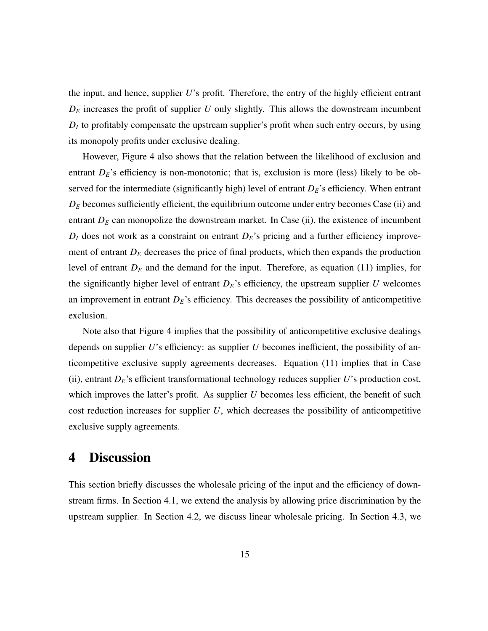the input, and hence, supplier *U*'s profit. Therefore, the entry of the highly efficient entrant  $D_E$  increases the profit of supplier  $U$  only slightly. This allows the downstream incumbent  $D_I$  to profitably compensate the upstream supplier's profit when such entry occurs, by using its monopoly profits under exclusive dealing.

However, Figure 4 also shows that the relation between the likelihood of exclusion and entrant  $D<sub>E</sub>$ 's efficiency is non-monotonic; that is, exclusion is more (less) likely to be observed for the intermediate (significantly high) level of entrant *DE*'s efficiency. When entrant  $D_E$  becomes sufficiently efficient, the equilibrium outcome under entry becomes Case (ii) and entrant  $D_E$  can monopolize the downstream market. In Case (ii), the existence of incumbent  $D_I$  does not work as a constraint on entrant  $D_E$ 's pricing and a further efficiency improvement of entrant  $D_E$  decreases the price of final products, which then expands the production level of entrant *D<sup>E</sup>* and the demand for the input. Therefore, as equation (11) implies, for the significantly higher level of entrant  $D<sub>E</sub>$ 's efficiency, the upstream supplier *U* welcomes an improvement in entrant  $D<sub>E</sub>$ 's efficiency. This decreases the possibility of anticompetitive exclusion.

Note also that Figure 4 implies that the possibility of anticompetitive exclusive dealings depends on supplier *U*'s efficiency: as supplier *U* becomes inefficient, the possibility of anticompetitive exclusive supply agreements decreases. Equation (11) implies that in Case (ii), entrant *DE*'s efficient transformational technology reduces supplier *U*'s production cost, which improves the latter's profit. As supplier *U* becomes less efficient, the benefit of such cost reduction increases for supplier *U*, which decreases the possibility of anticompetitive exclusive supply agreements.

# 4 Discussion

This section briefly discusses the wholesale pricing of the input and the efficiency of downstream firms. In Section 4.1, we extend the analysis by allowing price discrimination by the upstream supplier. In Section 4.2, we discuss linear wholesale pricing. In Section 4.3, we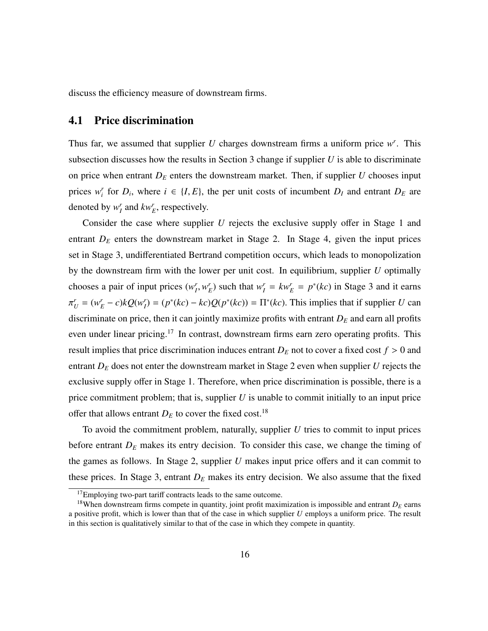discuss the efficiency measure of downstream firms.

### 4.1 Price discrimination

Thus far, we assumed that supplier *U* charges downstream firms a uniform price *w r* . This subsection discusses how the results in Section 3 change if supplier *U* is able to discriminate on price when entrant  $D_E$  enters the downstream market. Then, if supplier  $U$  chooses input prices  $w_i^r$  for  $D_i$ , where  $i \in \{I, E\}$ , the per unit costs of incumbent  $D_I$  and entrant  $D_E$  are denoted by  $w_I^r$  and  $kw_E^r$ , respectively.

Consider the case where supplier *U* rejects the exclusive supply offer in Stage 1 and entrant  $D_E$  enters the downstream market in Stage 2. In Stage 4, given the input prices set in Stage 3, undifferentiated Bertrand competition occurs, which leads to monopolization by the downstream firm with the lower per unit cost. In equilibrium, supplier *U* optimally chooses a pair of input prices  $(w_I^r, w_E^r)$  such that  $w_I^r = kw_E^r = p^*(kc)$  in Stage 3 and it earns  $V_U = (w_E^r - c)kQ(w_I^r) = (p^*(kc) - kc)Q(p^*(kc)) = \Pi^*(kc)$ . This implies that if supplier U can discriminate on price, then it can jointly maximize profits with entrant  $D<sub>E</sub>$  and earn all profits even under linear pricing.<sup>17</sup> In contrast, downstream firms earn zero operating profits. This result implies that price discrimination induces entrant  $D_E$  not to cover a fixed cost  $f > 0$  and entrant *D<sup>E</sup>* does not enter the downstream market in Stage 2 even when supplier *U* rejects the exclusive supply offer in Stage 1. Therefore, when price discrimination is possible, there is a price commitment problem; that is, supplier *U* is unable to commit initially to an input price offer that allows entrant  $D_E$  to cover the fixed cost.<sup>18</sup>

To avoid the commitment problem, naturally, supplier *U* tries to commit to input prices before entrant  $D<sub>E</sub>$  makes its entry decision. To consider this case, we change the timing of the games as follows. In Stage 2, supplier *U* makes input price offers and it can commit to these prices. In Stage 3, entrant  $D_E$  makes its entry decision. We also assume that the fixed

<sup>&</sup>lt;sup>17</sup>Employing two-part tariff contracts leads to the same outcome.

<sup>&</sup>lt;sup>18</sup>When downstream firms compete in quantity, joint profit maximization is impossible and entrant  $D<sub>E</sub>$  earns a positive profit, which is lower than that of the case in which supplier *U* employs a uniform price. The result in this section is qualitatively similar to that of the case in which they compete in quantity.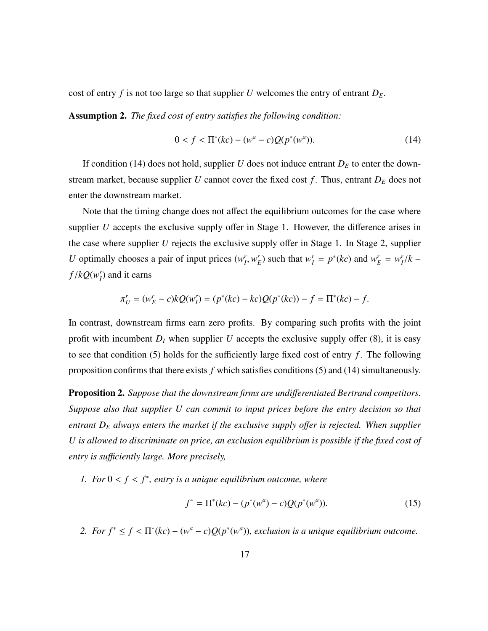cost of entry  $f$  is not too large so that supplier  $U$  welcomes the entry of entrant  $D_E$ .

Assumption 2. *The fixed cost of entry satisfies the following condition:*

$$
0 < f < \Pi^*(kc) - (w^a - c)Q(p^*(w^a)).\tag{14}
$$

If condition (14) does not hold, supplier *U* does not induce entrant  $D_E$  to enter the downstream market, because supplier *U* cannot cover the fixed cost  $f$ . Thus, entrant  $D<sub>E</sub>$  does not enter the downstream market.

Note that the timing change does not affect the equilibrium outcomes for the case where supplier *U* accepts the exclusive supply offer in Stage 1. However, the difference arises in the case where supplier *U* rejects the exclusive supply offer in Stage 1. In Stage 2, supplier U optimally chooses a pair of input prices  $(w_I^r, w_E^r)$  such that  $w_I^r = p^*(kc)$  and  $w_E^r = w_I^r / k$  –  $f/kQ(w<sub>I</sub><sup>r</sup>)$  and it earns

$$
\pi'_U = (w'_E - c)kQ(w'_I) = (p^*(kc) - kc)Q(p^*(kc)) - f = \Pi^*(kc) - f.
$$

In contrast, downstream firms earn zero profits. By comparing such profits with the joint profit with incumbent  $D_I$  when supplier  $U$  accepts the exclusive supply offer (8), it is easy to see that condition  $(5)$  holds for the sufficiently large fixed cost of entry  $f$ . The following proposition confirms that there exists *f* which satisfies conditions (5) and (14) simultaneously.

Proposition 2. *Suppose that the downstream firms are undi*ff*erentiated Bertrand competitors. Suppose also that supplier U can commit to input prices before the entry decision so that entrant D<sup>E</sup> always enters the market if the exclusive supply o*ff*er is rejected. When supplier U is allowed to discriminate on price, an exclusion equilibrium is possible if the fixed cost of entry is su*ffi*ciently large. More precisely,*

*1.* For  $0 < f < f^*$ , entry is a unique equilibrium outcome, where

$$
f^* = \Pi^*(kc) - (p^*(w^a) - c)Q(p^*(w^a)).
$$
\n(15)

2. For  $f^* \le f < \Pi^*(kc) - (w^a - c)Q(p^*(w^a))$ , exclusion is a unique equilibrium outcome.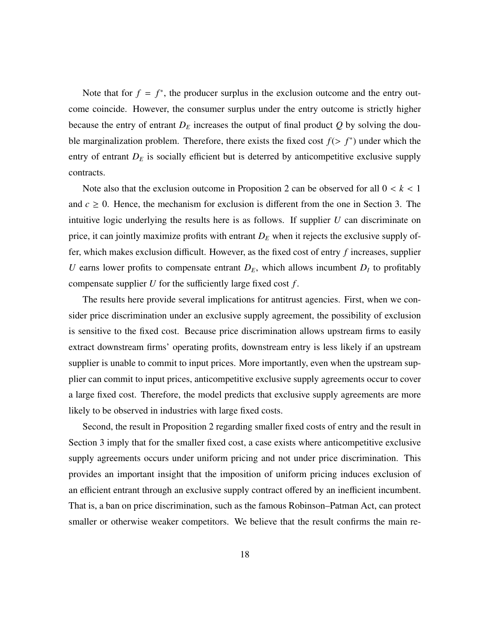Note that for  $f = f^*$ , the producer surplus in the exclusion outcome and the entry outcome coincide. However, the consumer surplus under the entry outcome is strictly higher because the entry of entrant  $D_E$  increases the output of final product  $Q$  by solving the double marginalization problem. Therefore, there exists the fixed cost  $f(> f^*)$  under which the entry of entrant  $D_E$  is socially efficient but is deterred by anticompetitive exclusive supply contracts.

Note also that the exclusion outcome in Proposition 2 can be observed for all  $0 < k < 1$ and  $c \geq 0$ . Hence, the mechanism for exclusion is different from the one in Section 3. The intuitive logic underlying the results here is as follows. If supplier *U* can discriminate on price, it can jointly maximize profits with entrant  $D<sub>E</sub>$  when it rejects the exclusive supply offer, which makes exclusion difficult. However, as the fixed cost of entry *f* increases, supplier *U* earns lower profits to compensate entrant  $D_E$ , which allows incumbent  $D_I$  to profitably compensate supplier *U* for the sufficiently large fixed cost *f* .

The results here provide several implications for antitrust agencies. First, when we consider price discrimination under an exclusive supply agreement, the possibility of exclusion is sensitive to the fixed cost. Because price discrimination allows upstream firms to easily extract downstream firms' operating profits, downstream entry is less likely if an upstream supplier is unable to commit to input prices. More importantly, even when the upstream supplier can commit to input prices, anticompetitive exclusive supply agreements occur to cover a large fixed cost. Therefore, the model predicts that exclusive supply agreements are more likely to be observed in industries with large fixed costs.

Second, the result in Proposition 2 regarding smaller fixed costs of entry and the result in Section 3 imply that for the smaller fixed cost, a case exists where anticompetitive exclusive supply agreements occurs under uniform pricing and not under price discrimination. This provides an important insight that the imposition of uniform pricing induces exclusion of an efficient entrant through an exclusive supply contract offered by an inefficient incumbent. That is, a ban on price discrimination, such as the famous Robinson–Patman Act, can protect smaller or otherwise weaker competitors. We believe that the result confirms the main re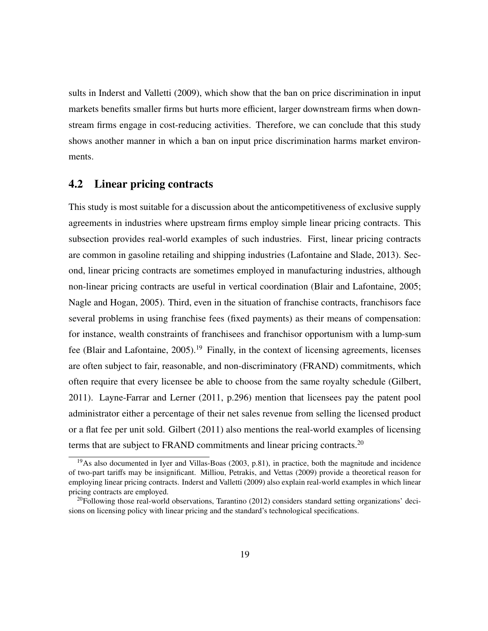sults in Inderst and Valletti (2009), which show that the ban on price discrimination in input markets benefits smaller firms but hurts more efficient, larger downstream firms when downstream firms engage in cost-reducing activities. Therefore, we can conclude that this study shows another manner in which a ban on input price discrimination harms market environments.

### 4.2 Linear pricing contracts

This study is most suitable for a discussion about the anticompetitiveness of exclusive supply agreements in industries where upstream firms employ simple linear pricing contracts. This subsection provides real-world examples of such industries. First, linear pricing contracts are common in gasoline retailing and shipping industries (Lafontaine and Slade, 2013). Second, linear pricing contracts are sometimes employed in manufacturing industries, although non-linear pricing contracts are useful in vertical coordination (Blair and Lafontaine, 2005; Nagle and Hogan, 2005). Third, even in the situation of franchise contracts, franchisors face several problems in using franchise fees (fixed payments) as their means of compensation: for instance, wealth constraints of franchisees and franchisor opportunism with a lump-sum fee (Blair and Lafontaine, 2005).<sup>19</sup> Finally, in the context of licensing agreements, licenses are often subject to fair, reasonable, and non-discriminatory (FRAND) commitments, which often require that every licensee be able to choose from the same royalty schedule (Gilbert, 2011). Layne-Farrar and Lerner (2011, p.296) mention that licensees pay the patent pool administrator either a percentage of their net sales revenue from selling the licensed product or a flat fee per unit sold. Gilbert (2011) also mentions the real-world examples of licensing terms that are subject to FRAND commitments and linear pricing contracts.<sup>20</sup>

 $19$ As also documented in Iyer and Villas-Boas (2003, p.81), in practice, both the magnitude and incidence of two-part tariffs may be insignificant. Milliou, Petrakis, and Vettas (2009) provide a theoretical reason for employing linear pricing contracts. Inderst and Valletti (2009) also explain real-world examples in which linear pricing contracts are employed.

 $^{20}$ Following those real-world observations, Tarantino (2012) considers standard setting organizations' decisions on licensing policy with linear pricing and the standard's technological specifications.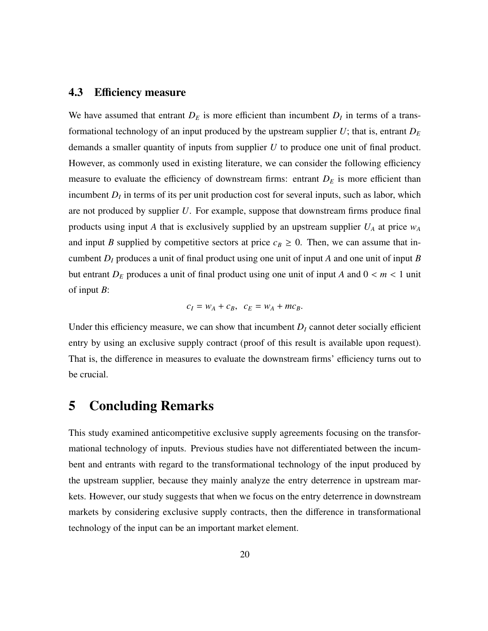### 4.3 Efficiency measure

We have assumed that entrant  $D_E$  is more efficient than incumbent  $D_I$  in terms of a transformational technology of an input produced by the upstream supplier  $U$ ; that is, entrant  $D_E$ demands a smaller quantity of inputs from supplier *U* to produce one unit of final product. However, as commonly used in existing literature, we can consider the following efficiency measure to evaluate the efficiency of downstream firms: entrant  $D<sub>E</sub>$  is more efficient than incumbent  $D_I$  in terms of its per unit production cost for several inputs, such as labor, which are not produced by supplier *U*. For example, suppose that downstream firms produce final products using input *A* that is exclusively supplied by an upstream supplier *U<sup>A</sup>* at price *w<sup>A</sup>* and input *B* supplied by competitive sectors at price  $c_B \ge 0$ . Then, we can assume that incumbent *D<sup>I</sup>* produces a unit of final product using one unit of input *A* and one unit of input *B* but entrant  $D_E$  produces a unit of final product using one unit of input *A* and  $0 < m < 1$  unit of input *B*:

$$
c_I = w_A + c_B, \quad c_E = w_A + mc_B.
$$

Under this efficiency measure, we can show that incumbent  $D<sub>I</sub>$  cannot deter socially efficient entry by using an exclusive supply contract (proof of this result is available upon request). That is, the difference in measures to evaluate the downstream firms' efficiency turns out to be crucial.

# 5 Concluding Remarks

This study examined anticompetitive exclusive supply agreements focusing on the transformational technology of inputs. Previous studies have not differentiated between the incumbent and entrants with regard to the transformational technology of the input produced by the upstream supplier, because they mainly analyze the entry deterrence in upstream markets. However, our study suggests that when we focus on the entry deterrence in downstream markets by considering exclusive supply contracts, then the difference in transformational technology of the input can be an important market element.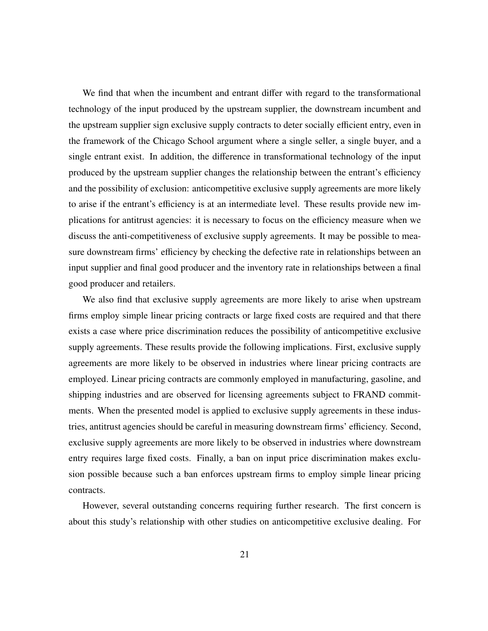We find that when the incumbent and entrant differ with regard to the transformational technology of the input produced by the upstream supplier, the downstream incumbent and the upstream supplier sign exclusive supply contracts to deter socially efficient entry, even in the framework of the Chicago School argument where a single seller, a single buyer, and a single entrant exist. In addition, the difference in transformational technology of the input produced by the upstream supplier changes the relationship between the entrant's efficiency and the possibility of exclusion: anticompetitive exclusive supply agreements are more likely to arise if the entrant's efficiency is at an intermediate level. These results provide new implications for antitrust agencies: it is necessary to focus on the efficiency measure when we discuss the anti-competitiveness of exclusive supply agreements. It may be possible to measure downstream firms' efficiency by checking the defective rate in relationships between an input supplier and final good producer and the inventory rate in relationships between a final good producer and retailers.

We also find that exclusive supply agreements are more likely to arise when upstream firms employ simple linear pricing contracts or large fixed costs are required and that there exists a case where price discrimination reduces the possibility of anticompetitive exclusive supply agreements. These results provide the following implications. First, exclusive supply agreements are more likely to be observed in industries where linear pricing contracts are employed. Linear pricing contracts are commonly employed in manufacturing, gasoline, and shipping industries and are observed for licensing agreements subject to FRAND commitments. When the presented model is applied to exclusive supply agreements in these industries, antitrust agencies should be careful in measuring downstream firms' efficiency. Second, exclusive supply agreements are more likely to be observed in industries where downstream entry requires large fixed costs. Finally, a ban on input price discrimination makes exclusion possible because such a ban enforces upstream firms to employ simple linear pricing contracts.

However, several outstanding concerns requiring further research. The first concern is about this study's relationship with other studies on anticompetitive exclusive dealing. For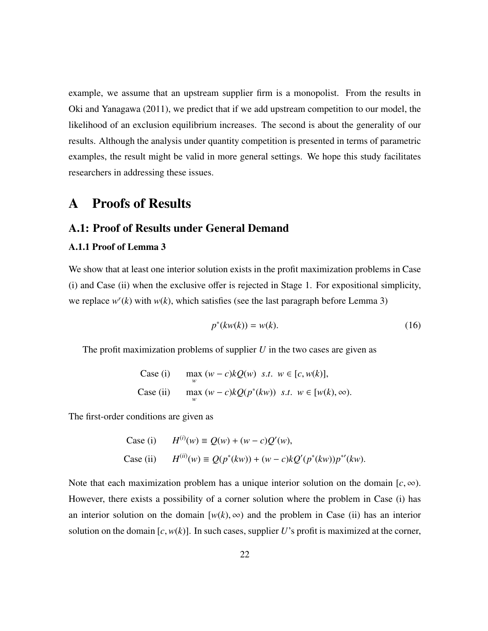example, we assume that an upstream supplier firm is a monopolist. From the results in Oki and Yanagawa (2011), we predict that if we add upstream competition to our model, the likelihood of an exclusion equilibrium increases. The second is about the generality of our results. Although the analysis under quantity competition is presented in terms of parametric examples, the result might be valid in more general settings. We hope this study facilitates researchers in addressing these issues.

# A Proofs of Results

### A.1: Proof of Results under General Demand

#### A.1.1 Proof of Lemma 3

We show that at least one interior solution exists in the profit maximization problems in Case (i) and Case (ii) when the exclusive offer is rejected in Stage 1. For expositional simplicity, we replace  $w^{r}(k)$  with  $w(k)$ , which satisfies (see the last paragraph before Lemma 3)

$$
p^*(kw(k)) = w(k). \tag{16}
$$

The profit maximization problems of supplier *U* in the two cases are given as

Case (i) 
$$
\max_{w} (w - c)kQ(w) \text{ s.t. } w \in [c, w(k)],
$$
  
Case (ii) 
$$
\max_{w} (w - c)kQ(p^*(kw)) \text{ s.t. } w \in [w(k), \infty).
$$

The first-order conditions are given as

Case (i) 
$$
H^{(i)}(w) \equiv Q(w) + (w - c)Q'(w),
$$
  
Case (ii) 
$$
H^{(ii)}(w) \equiv Q(p^*(kw)) + (w - c)kQ'(p^*(kw))p^{*'}(kw).
$$

Note that each maximization problem has a unique interior solution on the domain  $[c, \infty)$ . However, there exists a possibility of a corner solution where the problem in Case (i) has an interior solution on the domain  $[w(k), \infty)$  and the problem in Case (ii) has an interior solution on the domain  $[c, w(k)]$ . In such cases, supplier *U*'s profit is maximized at the corner,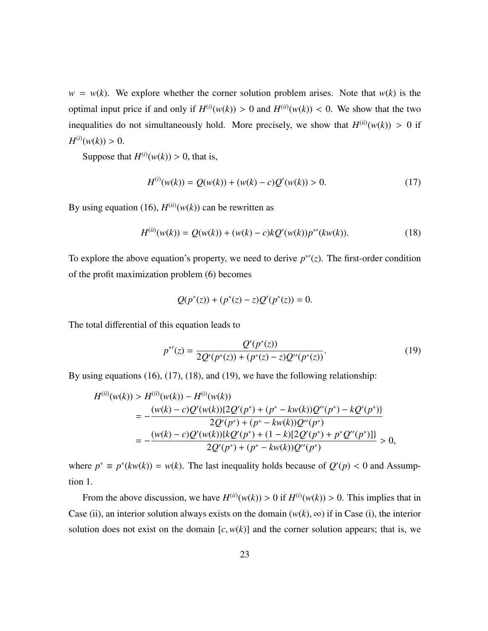$w = w(k)$ . We explore whether the corner solution problem arises. Note that  $w(k)$  is the optimal input price if and only if  $H^{(i)}(w(k)) > 0$  and  $H^{(ii)}(w(k)) < 0$ . We show that the two inequalities do not simultaneously hold. More precisely, we show that  $H^{(ii)}(w(k)) > 0$  if  $H^{(i)}(w(k)) > 0.$ 

Suppose that  $H^{(i)}(w(k)) > 0$ , that is,

$$
H^{(i)}(w(k)) = Q(w(k)) + (w(k) - c)Q'(w(k)) > 0.
$$
 (17)

By using equation (16),  $H^{(ii)}(w(k))$  can be rewritten as

$$
H^{(ii)}(w(k)) = Q(w(k)) + (w(k) - c)kQ'(w(k))p^{*'}(kw(k)).
$$
\n(18)

To explore the above equation's property, we need to derive  $p^*(z)$ . The first-order condition of the profit maximization problem (6) becomes

$$
Q(p^*(z)) + (p^*(z) - z)Q'(p^*(z)) = 0.
$$

The total differential of this equation leads to

$$
p^{*'}(z) = \frac{Q'(p^*(z))}{2Q'(p^*(z)) + (p^*(z) - z)Q''(p^*(z))}.
$$
\n(19)

By using equations (16), (17), (18), and (19), we have the following relationship:

$$
H^{(ii)}(w(k)) > H^{(ii)}(w(k)) - H^{(i)}(w(k))
$$
  
= 
$$
-\frac{(w(k) - c)Q'(w(k))\{2Q'(p^*) + (p^* - kw(k))Q''(p^*) - kQ'(p^*)\}}{2Q'(p^*) + (p^* - kw(k))Q''(p^*)}
$$
  
= 
$$
-\frac{(w(k) - c)Q'(w(k))\{kQ'(p^*) + (1 - k)[2Q'(p^*) + p^*Q''(p^*)]\}}{2Q'(p^*) + (p^* - kw(k))Q''(p^*)} > 0,
$$

where  $p^* \equiv p^*(kw(k)) = w(k)$ . The last inequality holds because of  $Q'(p) < 0$  and Assumption 1.

From the above discussion, we have  $H^{(ii)}(w(k)) > 0$  if  $H^{(i)}(w(k)) > 0$ . This implies that in Case (ii), an interior solution always exists on the domain  $(w(k), \infty)$  if in Case (i), the interior solution does not exist on the domain  $[c, w(k)]$  and the corner solution appears; that is, we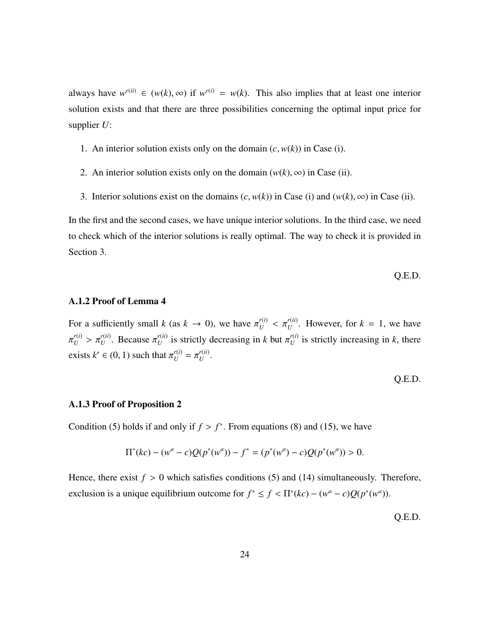always have  $w^{r(ii)} \in (w(k), \infty)$  if  $w^{r(i)} = w(k)$ . This also implies that at least one interior solution exists and that there are three possibilities concerning the optimal input price for supplier *U*:

- 1. An interior solution exists only on the domain  $(c, w(k))$  in Case (i).
- 2. An interior solution exists only on the domain  $(w(k), \infty)$  in Case (ii).
- 3. Interior solutions exist on the domains  $(c, w(k))$  in Case (i) and  $(w(k), \infty)$  in Case (ii).

In the first and the second cases, we have unique interior solutions. In the third case, we need to check which of the interior solutions is really optimal. The way to check it is provided in Section 3.

Q.E.D.

#### A.1.2 Proof of Lemma 4

For a sufficiently small *k* (as  $k \to 0$ ), we have  $\pi_U^{r(i)} < \pi_U^{r(i)}$ . However, for  $k = 1$ , we have  $r_U^{(i)} > \pi_U^{r(ii)}$ . Because  $\pi_U^{r(i)}$  $U_U^{(ii)}$  is strictly decreasing in *k* but  $\pi_U^{(i)}$  $U^{(1)}$  is strictly increasing in *k*, there exists  $k' \in (0, 1)$  such that  $\pi_U^{r(i)} = \pi_U^{r(i)}$ *U* .

$$
Q.E.D.
$$

#### A.1.3 Proof of Proposition 2

Condition (5) holds if and only if  $f > f^*$ . From equations (8) and (15), we have

$$
\Pi^*(kc) - (w^a - c)Q(p^*(w^a)) - f^* = (p^*(w^a) - c)Q(p^*(w^a)) > 0.
$$

Hence, there exist  $f > 0$  which satisfies conditions (5) and (14) simultaneously. Therefore, exclusion is a unique equilibrium outcome for  $f^* \le f < \Pi^*(kc) - (w^a - c)Q(p^*(w^a))$ .

Q.E.D.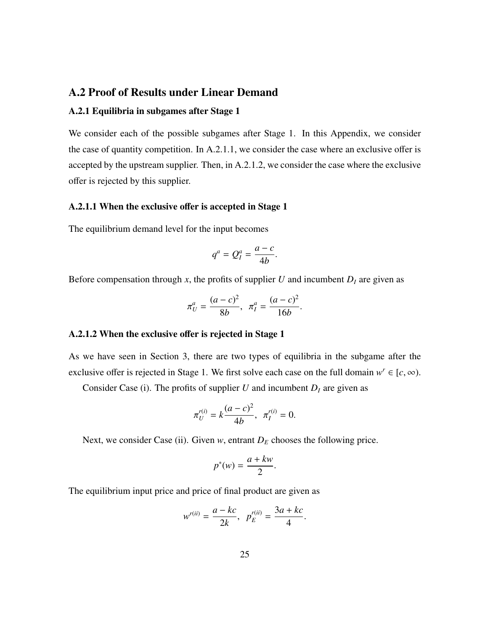### A.2 Proof of Results under Linear Demand

#### A.2.1 Equilibria in subgames after Stage 1

We consider each of the possible subgames after Stage 1. In this Appendix, we consider the case of quantity competition. In A.2.1.1, we consider the case where an exclusive offer is accepted by the upstream supplier. Then, in A.2.1.2, we consider the case where the exclusive offer is rejected by this supplier.

#### A.2.1.1 When the exclusive offer is accepted in Stage 1

The equilibrium demand level for the input becomes

$$
q^a = Q_I^a = \frac{a-c}{4b}.
$$

Before compensation through  $x$ , the profits of supplier  $U$  and incumbent  $D<sub>I</sub>$  are given as

$$
\pi_U^a = \frac{(a-c)^2}{8b}, \ \pi_I^a = \frac{(a-c)^2}{16b}.
$$

#### A.2.1.2 When the exclusive offer is rejected in Stage 1

As we have seen in Section 3, there are two types of equilibria in the subgame after the exclusive offer is rejected in Stage 1. We first solve each case on the full domain  $w^r \in [c, \infty)$ .

Consider Case (i). The profits of supplier  $U$  and incumbent  $D_I$  are given as

$$
\pi_U^{r(i)} = k \frac{(a-c)^2}{4b}, \ \pi_I^{r(i)} = 0.
$$

Next, we consider Case (ii). Given  $w$ , entrant  $D_E$  chooses the following price.

$$
p^*(w) = \frac{a + kw}{2}.
$$

The equilibrium input price and price of final product are given as

$$
w^{r(ii)} = \frac{a - kc}{2k}, \ \ p_E^{r(ii)} = \frac{3a + kc}{4}.
$$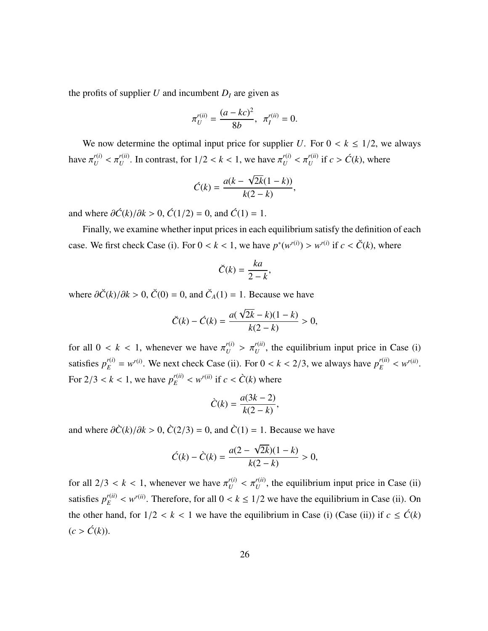the profits of supplier *U* and incumbent  $D<sub>I</sub>$  are given as

$$
\pi_U^{r(ii)} = \frac{(a - kc)^2}{8b}, \ \pi_I^{r(ii)} = 0.
$$

We now determine the optimal input price for supplier *U*. For  $0 < k \leq 1/2$ , we always have  $\pi_U^{r(i)} < \pi_U^{r(i)}$ . In contrast, for  $1/2 < k < 1$ , we have  $\pi_U^{r(i)} < \pi_U^{r(i)}$  if  $c > \hat{C}(k)$ , where

$$
\acute{C}(k) = \frac{a(k - \sqrt{2k}(1 - k))}{k(2 - k)},
$$

and where  $\partial \hat{C}(k)/\partial k > 0$ ,  $\hat{C}(1/2) = 0$ , and  $\hat{C}(1) = 1$ .

Finally, we examine whether input prices in each equilibrium satisfy the definition of each case. We first check Case (i). For  $0 < k < 1$ , we have  $p^*(w^{r(i)}) > w^{r(i)}$  if  $c < \tilde{C}(k)$ , where

$$
\breve{C}(k) = \frac{ka}{2-k},
$$

where  $\partial \check{C}(k)/\partial k > 0$ ,  $\check{C}(0) = 0$ , and  $\check{C}_A(1) = 1$ . Because we have

$$
\breve{C}(k) - \acute{C}(k) = \frac{a(\sqrt{2k} - k)(1 - k)}{k(2 - k)} > 0,
$$

for all  $0 < k < 1$ , whenever we have  $\pi_U^{r(i)} > \pi_U^{r(i)}$ , the equilibrium input price in Case (i) satisfies  $p_E^{r(i)} = w^{r(i)}$ . We next check Case (ii). For  $0 < k < 2/3$ , we always have  $p_E^{r(ii)} < w^{r(ii)}$ . For  $2/3 < k < 1$ , we have  $p_E^{r(ii)} < w^{r(ii)}$  if  $c < \tilde{C}(k)$  where

$$
\tilde{C}(k) = \frac{a(3k-2)}{k(2-k)},
$$

and where  $\frac{\partial \hat{C}(k)}{\partial k} > 0$ ,  $\frac{\partial (2/3)}{\partial k} = 0$ , and  $\frac{\partial (1)}{\partial k} = 1$ . Because we have

$$
\dot{C}(k) - \dot{C}(k) = \frac{a(2 - \sqrt{2k})(1 - k)}{k(2 - k)} > 0,
$$

for all  $2/3 < k < 1$ , whenever we have  $\pi_U^{r(i)} < \pi_U^{r(i)}$ , the equilibrium input price in Case (ii) satisfies  $p_E^{r(ii)} < w^{r(ii)}$ . Therefore, for all  $0 < k \le 1/2$  we have the equilibrium in Case (ii). On the other hand, for  $1/2 < k < 1$  we have the equilibrium in Case (i) (Case (ii)) if  $c \leq \hat{C}(k)$  $(c > \hat{C}(k)).$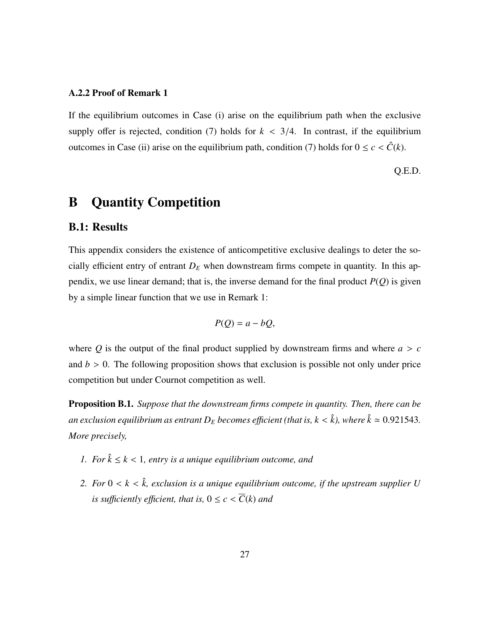#### A.2.2 Proof of Remark 1

If the equilibrium outcomes in Case (i) arise on the equilibrium path when the exclusive supply offer is rejected, condition (7) holds for  $k < 3/4$ . In contrast, if the equilibrium outcomes in Case (ii) arise on the equilibrium path, condition (7) holds for  $0 \le c < \hat{C}(k)$ .

Q.E.D.

# B Quantity Competition

### B.1: Results

This appendix considers the existence of anticompetitive exclusive dealings to deter the socially efficient entry of entrant  $D_E$  when downstream firms compete in quantity. In this appendix, we use linear demand; that is, the inverse demand for the final product *P*(*Q*) is given by a simple linear function that we use in Remark 1:

$$
P(Q) = a - bQ,
$$

where  $Q$  is the output of the final product supplied by downstream firms and where  $a > c$ and  $b > 0$ . The following proposition shows that exclusion is possible not only under price competition but under Cournot competition as well.

Proposition B.1. *Suppose that the downstream firms compete in quantity. Then, there can be an exclusion equilibrium as entrant*  $D_E$  *becomes efficient (that is, k < k̂), where*  $\hat{k} \approx 0.921543$ . *More precisely,*

- *1. For*  $\hat{k} \leq k < 1$ , entry is a unique equilibrium outcome, and
- 2. For  $0 < k < \hat{k}$ , exclusion is a unique equilibrium outcome, if the upstream supplier U *is sufficiently efficient, that is,*  $0 \le c \le \overline{C}(k)$  *and*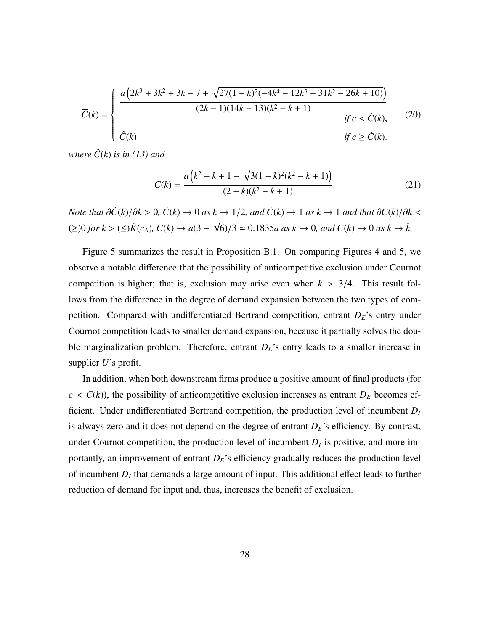$$
\overline{C}(k) = \begin{cases}\n\frac{a(2k^3 + 3k^2 + 3k - 7 + \sqrt{27(1 - k)^2(-4k^4 - 12k^3 + 31k^2 - 26k + 10)})}{(2k - 1)(14k - 13)(k^2 - k + 1)} & \text{if } c < \dot{C}(k), \\
\hat{C}(k) & \text{if } c \ge \dot{C}(k).\n\end{cases} (20)
$$

*where*  $\hat{C}(k)$  *is in* (13) and

$$
\dot{C}(k) = \frac{a(k^2 - k + 1 - \sqrt{3(1 - k)^2(k^2 - k + 1)})}{(2 - k)(k^2 - k + 1)}.
$$
\n(21)

*Note that*  $\partial \dot{C}(k)/\partial k > 0$ ,  $\dot{C}(k) \rightarrow 0$  *as*  $k \rightarrow 1/2$ , and  $\dot{C}(k) \rightarrow 1$  *as*  $k \rightarrow 1$  *and that*  $\partial \overline{C}(k)/\partial k <$ (≥)0 *for*  $k >$  (≤) $\dot{K}(c_A)$ ,  $\overline{C}(k) \rightarrow a(3 -$ √  $\overline{6}$ /3  $\simeq$  0.1835*a* as  $k \to 0$ , and  $\overline{C}(k) \to 0$  as  $k \to \hat{k}$ .

Figure 5 summarizes the result in Proposition B.1. On comparing Figures 4 and 5, we observe a notable difference that the possibility of anticompetitive exclusion under Cournot competition is higher; that is, exclusion may arise even when  $k > 3/4$ . This result follows from the difference in the degree of demand expansion between the two types of competition. Compared with undifferentiated Bertrand competition, entrant *DE*'s entry under Cournot competition leads to smaller demand expansion, because it partially solves the double marginalization problem. Therefore, entrant  $D<sub>E</sub>$ 's entry leads to a smaller increase in supplier *U*'s profit.

In addition, when both downstream firms produce a positive amount of final products (for  $c < \dot{C}(k)$ , the possibility of anticompetitive exclusion increases as entrant  $D_E$  becomes efficient. Under undifferentiated Bertrand competition, the production level of incumbent *D<sup>I</sup>* is always zero and it does not depend on the degree of entrant  $D<sub>E</sub>$ 's efficiency. By contrast, under Cournot competition, the production level of incumbent  $D<sub>I</sub>$  is positive, and more importantly, an improvement of entrant  $D_E$ 's efficiency gradually reduces the production level of incumbent *D<sup>I</sup>* that demands a large amount of input. This additional effect leads to further reduction of demand for input and, thus, increases the benefit of exclusion.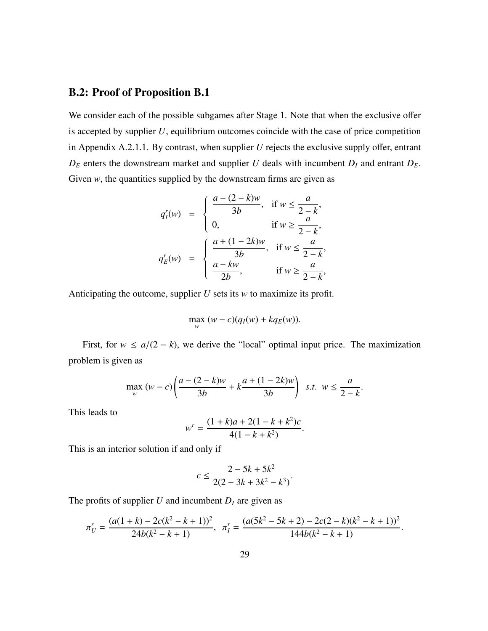### B.2: Proof of Proposition B.1

We consider each of the possible subgames after Stage 1. Note that when the exclusive offer is accepted by supplier  $U$ , equilibrium outcomes coincide with the case of price competition in Appendix A.2.1.1. By contrast, when supplier *U* rejects the exclusive supply offer, entrant  $D_E$  enters the downstream market and supplier *U* deals with incumbent  $D_I$  and entrant  $D_E$ . Given  $w$ , the quantities supplied by the downstream firms are given as

$$
q'_I(w) = \begin{cases} \frac{a - (2 - k)w}{3b}, & \text{if } w \le \frac{a}{2 - k}, \\ 0, & \text{if } w \ge \frac{a}{2 - k}, \end{cases}
$$

$$
q'_E(w) = \begin{cases} \frac{a + (1 - 2k)w}{3b}, & \text{if } w \le \frac{a}{2 - k}, \\ \frac{a - kw}{2b}, & \text{if } w \ge \frac{a}{2 - k}, \end{cases}
$$

Anticipating the outcome, supplier *U* sets its *w* to maximize its profit.

$$
\max_{w} (w - c)(q_I(w) + kq_E(w)).
$$

First, for  $w \le a/(2 - k)$ , we derive the "local" optimal input price. The maximization problem is given as

$$
\max_{w} (w - c) \left( \frac{a - (2 - k)w}{3b} + k \frac{a + (1 - 2k)w}{3b} \right) \text{ s.t. } w \le \frac{a}{2 - k}.
$$

This leads to

$$
w^{r} = \frac{(1+k)a + 2(1 - k + k^{2})c}{4(1 - k + k^{2})}.
$$

This is an interior solution if and only if

$$
c \le \frac{2 - 5k + 5k^2}{2(2 - 3k + 3k^2 - k^3)}.
$$

The profits of supplier  $U$  and incumbent  $D_I$  are given as

$$
\pi_U^r = \frac{(a(1+k)-2c(k^2-k+1))^2}{24b(k^2-k+1)}, \ \pi_I^r = \frac{(a(5k^2-5k+2)-2c(2-k)(k^2-k+1))^2}{144b(k^2-k+1)}.
$$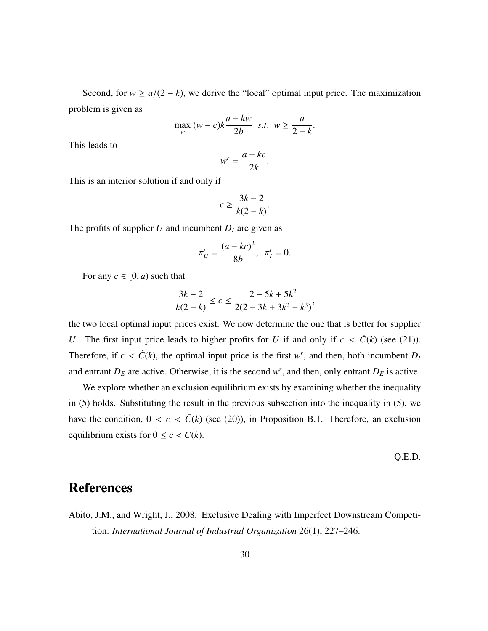Second, for  $w \ge a/(2 - k)$ , we derive the "local" optimal input price. The maximization problem is given as

$$
\max_{w} (w - c)k \frac{a - kw}{2b} \quad s.t. \quad w \ge \frac{a}{2 - k}
$$

This leads to

$$
w^r = \frac{a + kc}{2k}.
$$

This is an interior solution if and only if

$$
c \ge \frac{3k-2}{k(2-k)}.
$$

The profits of supplier  $U$  and incumbent  $D_I$  are given as

$$
\pi'_U = \frac{(a - kc)^2}{8b}, \ \pi'_I = 0.
$$

For any  $c \in [0, a)$  such that

$$
\frac{3k-2}{k(2-k)} \le c \le \frac{2-5k+5k^2}{2(2-3k+3k^2-k^3)},
$$

the two local optimal input prices exist. We now determine the one that is better for supplier *U*. The first input price leads to higher profits for *U* if and only if  $c < \dot{C}(k)$  (see (21)). Therefore, if  $c < C(k)$ , the optimal input price is the first  $w^r$ , and then, both incumbent  $D_l$ and entrant  $D_E$  are active. Otherwise, it is the second  $w^r$ , and then, only entrant  $D_E$  is active.

We explore whether an exclusion equilibrium exists by examining whether the inequality in (5) holds. Substituting the result in the previous subsection into the inequality in (5), we have the condition,  $0 < c < \overline{C}(k)$  (see (20)), in Proposition B.1. Therefore, an exclusion equilibrium exists for  $0 \le c < \overline{C}(k)$ .

Q.E.D.

# References

Abito, J.M., and Wright, J., 2008. Exclusive Dealing with Imperfect Downstream Competition. *International Journal of Industrial Organization* 26(1), 227–246.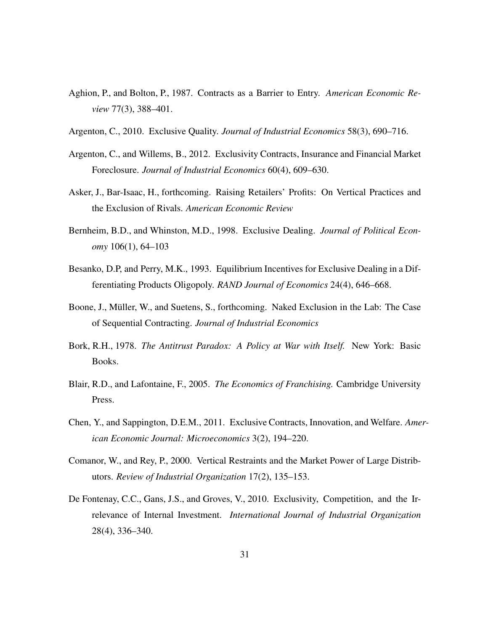- Aghion, P., and Bolton, P., 1987. Contracts as a Barrier to Entry. *American Economic Review* 77(3), 388–401.
- Argenton, C., 2010. Exclusive Quality. *Journal of Industrial Economics* 58(3), 690–716.
- Argenton, C., and Willems, B., 2012. Exclusivity Contracts, Insurance and Financial Market Foreclosure. *Journal of Industrial Economics* 60(4), 609–630.
- Asker, J., Bar-Isaac, H., forthcoming. Raising Retailers' Profits: On Vertical Practices and the Exclusion of Rivals. *American Economic Review*
- Bernheim, B.D., and Whinston, M.D., 1998. Exclusive Dealing. *Journal of Political Economy* 106(1), 64–103
- Besanko, D.P, and Perry, M.K., 1993. Equilibrium Incentives for Exclusive Dealing in a Differentiating Products Oligopoly. *RAND Journal of Economics* 24(4), 646–668.
- Boone, J., Müller, W., and Suetens, S., forthcoming. Naked Exclusion in the Lab: The Case of Sequential Contracting. *Journal of Industrial Economics*
- Bork, R.H., 1978. *The Antitrust Paradox: A Policy at War with Itself.* New York: Basic Books.
- Blair, R.D., and Lafontaine, F., 2005. *The Economics of Franchising.* Cambridge University Press.
- Chen, Y., and Sappington, D.E.M., 2011. Exclusive Contracts, Innovation, and Welfare. *American Economic Journal: Microeconomics* 3(2), 194–220.
- Comanor, W., and Rey, P., 2000. Vertical Restraints and the Market Power of Large Distributors. *Review of Industrial Organization* 17(2), 135–153.
- De Fontenay, C.C., Gans, J.S., and Groves, V., 2010. Exclusivity, Competition, and the Irrelevance of Internal Investment. *International Journal of Industrial Organization* 28(4), 336–340.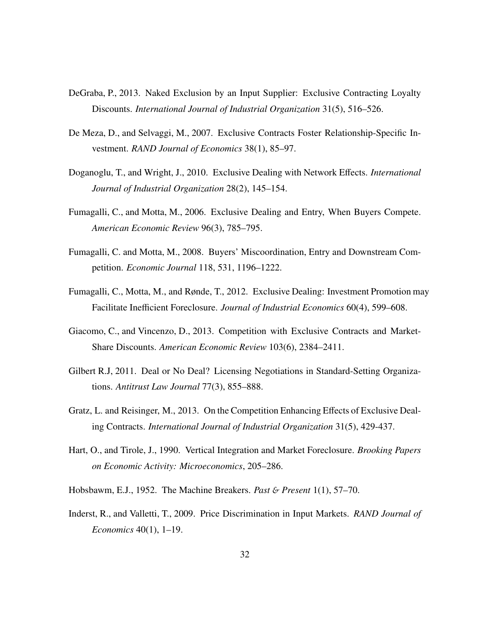- DeGraba, P., 2013. Naked Exclusion by an Input Supplier: Exclusive Contracting Loyalty Discounts. *International Journal of Industrial Organization* 31(5), 516–526.
- De Meza, D., and Selvaggi, M., 2007. Exclusive Contracts Foster Relationship-Specific Investment. *RAND Journal of Economics* 38(1), 85–97.
- Doganoglu, T., and Wright, J., 2010. Exclusive Dealing with Network Effects. *International Journal of Industrial Organization* 28(2), 145–154.
- Fumagalli, C., and Motta, M., 2006. Exclusive Dealing and Entry, When Buyers Compete. *American Economic Review* 96(3), 785–795.
- Fumagalli, C. and Motta, M., 2008. Buyers' Miscoordination, Entry and Downstream Competition. *Economic Journal* 118, 531, 1196–1222.
- Fumagalli, C., Motta, M., and Rønde, T., 2012. Exclusive Dealing: Investment Promotion may Facilitate Inefficient Foreclosure. *Journal of Industrial Economics* 60(4), 599–608.
- Giacomo, C., and Vincenzo, D., 2013. Competition with Exclusive Contracts and Market-Share Discounts. *American Economic Review* 103(6), 2384–2411.
- Gilbert R.J, 2011. Deal or No Deal? Licensing Negotiations in Standard-Setting Organizations. *Antitrust Law Journal* 77(3), 855–888.
- Gratz, L. and Reisinger, M., 2013. On the Competition Enhancing Effects of Exclusive Dealing Contracts. *International Journal of Industrial Organization* 31(5), 429-437.
- Hart, O., and Tirole, J., 1990. Vertical Integration and Market Foreclosure. *Brooking Papers on Economic Activity: Microeconomics*, 205–286.
- Hobsbawm, E.J., 1952. The Machine Breakers. *Past* & *Present* 1(1), 57–70.
- Inderst, R., and Valletti, T., 2009. Price Discrimination in Input Markets. *RAND Journal of Economics* 40(1), 1–19.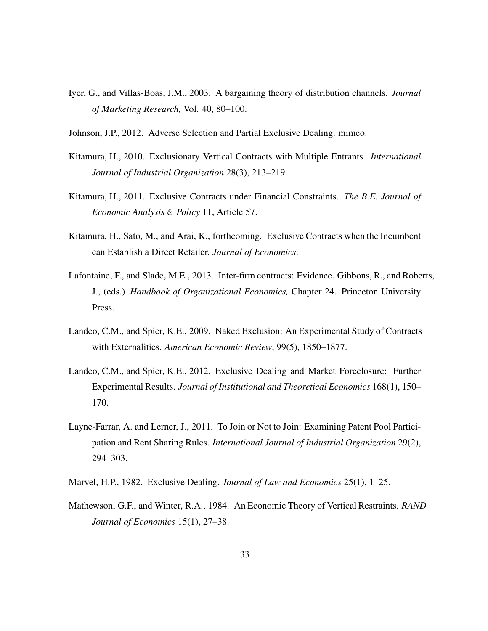- Iyer, G., and Villas-Boas, J.M., 2003. A bargaining theory of distribution channels. *Journal of Marketing Research,* Vol. 40, 80–100.
- Johnson, J.P., 2012. Adverse Selection and Partial Exclusive Dealing. mimeo.
- Kitamura, H., 2010. Exclusionary Vertical Contracts with Multiple Entrants. *International Journal of Industrial Organization* 28(3), 213–219.
- Kitamura, H., 2011. Exclusive Contracts under Financial Constraints. *The B.E. Journal of Economic Analysis* & *Policy* 11, Article 57.
- Kitamura, H., Sato, M., and Arai, K., forthcoming. Exclusive Contracts when the Incumbent can Establish a Direct Retailer. *Journal of Economics*.
- Lafontaine, F., and Slade, M.E., 2013. Inter-firm contracts: Evidence. Gibbons, R., and Roberts, J., (eds.) *Handbook of Organizational Economics,* Chapter 24. Princeton University Press.
- Landeo, C.M., and Spier, K.E., 2009. Naked Exclusion: An Experimental Study of Contracts with Externalities. *American Economic Review*, 99(5), 1850–1877.
- Landeo, C.M., and Spier, K.E., 2012. Exclusive Dealing and Market Foreclosure: Further Experimental Results. *Journal of Institutional and Theoretical Economics* 168(1), 150– 170.
- Layne-Farrar, A. and Lerner, J., 2011. To Join or Not to Join: Examining Patent Pool Participation and Rent Sharing Rules. *International Journal of Industrial Organization* 29(2), 294–303.
- Marvel, H.P., 1982. Exclusive Dealing. *Journal of Law and Economics* 25(1), 1–25.
- Mathewson, G.F., and Winter, R.A., 1984. An Economic Theory of Vertical Restraints. *RAND Journal of Economics* 15(1), 27–38.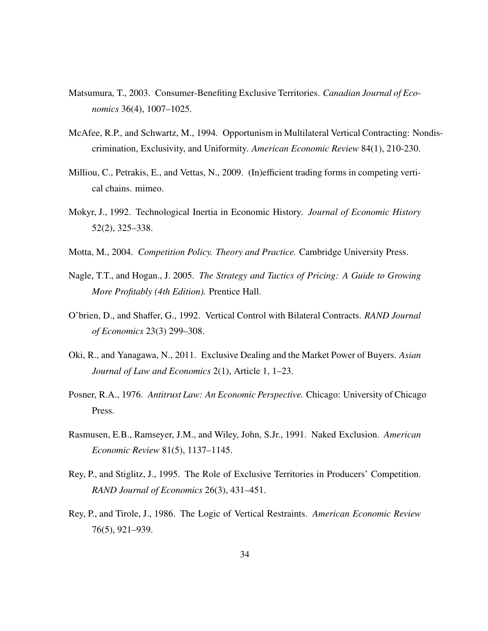- Matsumura, T., 2003. Consumer-Benefiting Exclusive Territories. *Canadian Journal of Economics* 36(4), 1007–1025.
- McAfee, R.P., and Schwartz, M., 1994. Opportunism in Multilateral Vertical Contracting: Nondiscrimination, Exclusivity, and Uniformity. *American Economic Review* 84(1), 210-230.
- Milliou, C., Petrakis, E., and Vettas, N., 2009. (In)efficient trading forms in competing vertical chains. mimeo.
- Mokyr, J., 1992. Technological Inertia in Economic History. *Journal of Economic History* 52(2), 325–338.
- Motta, M., 2004. *Competition Policy. Theory and Practice.* Cambridge University Press.
- Nagle, T.T., and Hogan., J. 2005. *The Strategy and Tactics of Pricing: A Guide to Growing More Profitably (4th Edition).* Prentice Hall.
- O'brien, D., and Shaffer, G., 1992. Vertical Control with Bilateral Contracts. *RAND Journal of Economics* 23(3) 299–308.
- Oki, R., and Yanagawa, N., 2011. Exclusive Dealing and the Market Power of Buyers. *Asian Journal of Law and Economics* 2(1), Article 1, 1–23.
- Posner, R.A., 1976. *Antitrust Law: An Economic Perspective.* Chicago: University of Chicago Press.
- Rasmusen, E.B., Ramseyer, J.M., and Wiley, John, S.Jr., 1991. Naked Exclusion. *American Economic Review* 81(5), 1137–1145.
- Rey, P., and Stiglitz, J., 1995. The Role of Exclusive Territories in Producers' Competition. *RAND Journal of Economics* 26(3), 431–451.
- Rey, P., and Tirole, J., 1986. The Logic of Vertical Restraints. *American Economic Review* 76(5), 921–939.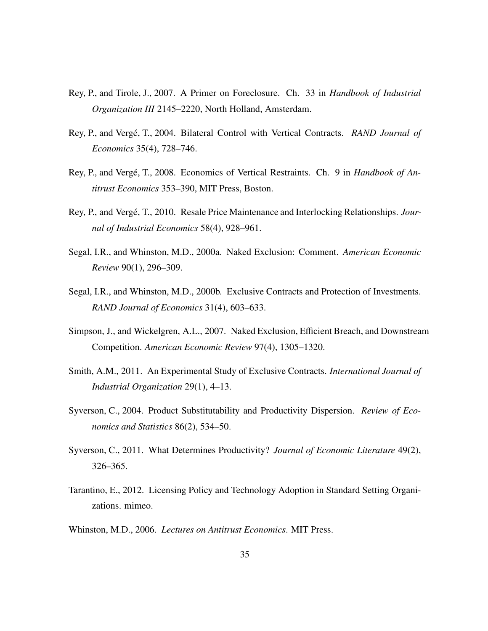- Rey, P., and Tirole, J., 2007. A Primer on Foreclosure. Ch. 33 in *Handbook of Industrial Organization III* 2145–2220, North Holland, Amsterdam.
- Rey, P., and Vergé, T., 2004. Bilateral Control with Vertical Contracts. *RAND Journal of Economics* 35(4), 728–746.
- Rey, P., and Vergé, T., 2008. Economics of Vertical Restraints. Ch. 9 in *Handbook of Antitrust Economics* 353–390, MIT Press, Boston.
- Rey, P., and Vergé, T., 2010. Resale Price Maintenance and Interlocking Relationships. *Journal of Industrial Economics* 58(4), 928–961.
- Segal, I.R., and Whinston, M.D., 2000a. Naked Exclusion: Comment. *American Economic Review* 90(1), 296–309.
- Segal, I.R., and Whinston, M.D., 2000b. Exclusive Contracts and Protection of Investments. *RAND Journal of Economics* 31(4), 603–633.
- Simpson, J., and Wickelgren, A.L., 2007. Naked Exclusion, Efficient Breach, and Downstream Competition. *American Economic Review* 97(4), 1305–1320.
- Smith, A.M., 2011. An Experimental Study of Exclusive Contracts. *International Journal of Industrial Organization* 29(1), 4–13.
- Syverson, C., 2004. Product Substitutability and Productivity Dispersion. *Review of Economics and Statistics* 86(2), 534–50.
- Syverson, C., 2011. What Determines Productivity? *Journal of Economic Literature* 49(2), 326–365.
- Tarantino, E., 2012. Licensing Policy and Technology Adoption in Standard Setting Organizations. mimeo.
- Whinston, M.D., 2006. *Lectures on Antitrust Economics*. MIT Press.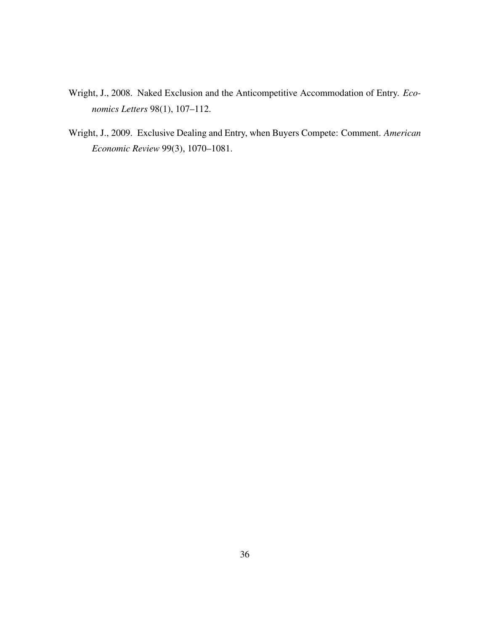- Wright, J., 2008. Naked Exclusion and the Anticompetitive Accommodation of Entry. *Economics Letters* 98(1), 107–112.
- Wright, J., 2009. Exclusive Dealing and Entry, when Buyers Compete: Comment. *American Economic Review* 99(3), 1070–1081.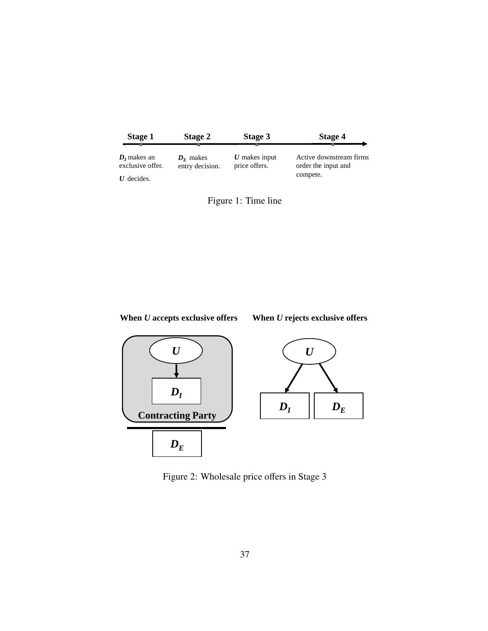| Stage 1                           | <b>Stage 2</b>                 | Stage 3                          | Stage 4                                        |
|-----------------------------------|--------------------------------|----------------------------------|------------------------------------------------|
| $Dt$ makes an<br>exclusive offer. | $D_F$ makes<br>entry decision. | $U$ makes input<br>price offers. | Active downstream firms<br>order the input and |
| $U$ decides.                      |                                |                                  | compete.                                       |







Figure 2: Wholesale price offers in Stage 3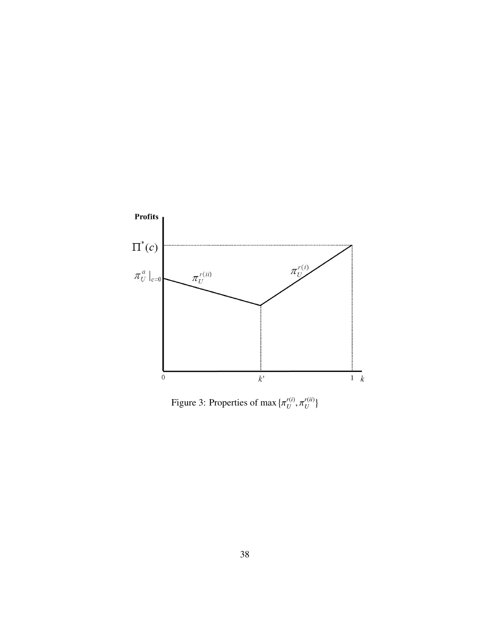

Figure 3: Properties of max *r*(*i*)  $U$ <sup>,  $\mu$ </sup> *r*(*ii*)  $U^{(u)}$ }